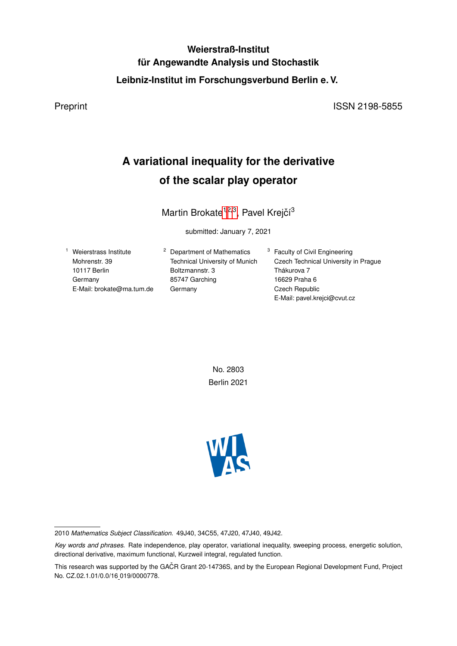# **Weierstraß-Institut für Angewandte Analysis und Stochastik Leibniz-Institut im Forschungsverbund Berlin e. V.**

Preprint ISSN 2198-5855

# **A variational inequality for the derivative of the scalar play operator**

Martin Brokate<sup>1,2,3</sup>, Pavel Krejčí<sup>3</sup>

submitted: January 7, 2021

<sup>1</sup> Weierstrass Institute Mohrenstr. 39 10117 Berlin Germany E-Mail: brokate@ma.tum.de <sup>2</sup> Department of Mathematics Technical University of Munich Boltzmannstr. 3 85747 Garching Germany

<sup>3</sup> Faculty of Civil Engineering Czech Technical University in Prague Thákurova 7 16629 Praha 6 Czech Republic E-Mail: pavel.krejci@cvut.cz

No. 2803 Berlin 2021



<sup>2010</sup> *Mathematics Subject Classification.* 49J40, 34C55, 47J20, 47J40, 49J42.

*Key words and phrases.* Rate independence, play operator, variational inequality, sweeping process, energetic solution, directional derivative, maximum functional, Kurzweil integral, regulated function.

This research was supported by the GAČR Grant 20-14736S, and by the European Regional Development Fund, Project No. CZ.02.1.01/0.0/16 019/0000778.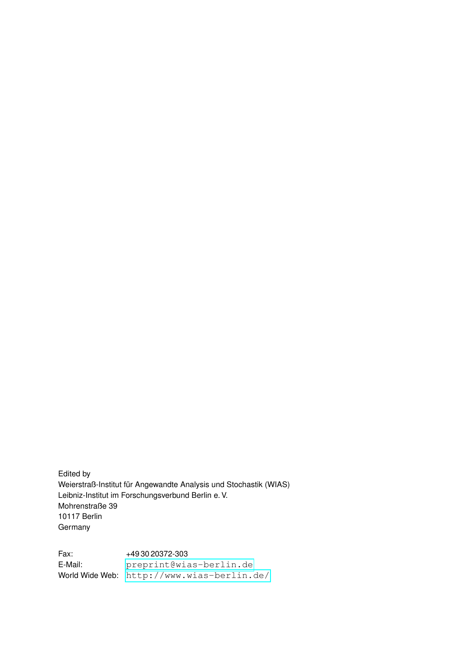Edited by Weierstraß-Institut für Angewandte Analysis und Stochastik (WIAS) Leibniz-Institut im Forschungsverbund Berlin e. V. Mohrenstraße 39 10117 Berlin Germany

Fax: +49 30 20372-303 E-Mail: <preprint@wias-berlin.de> World Wide Web: <http://www.wias-berlin.de/>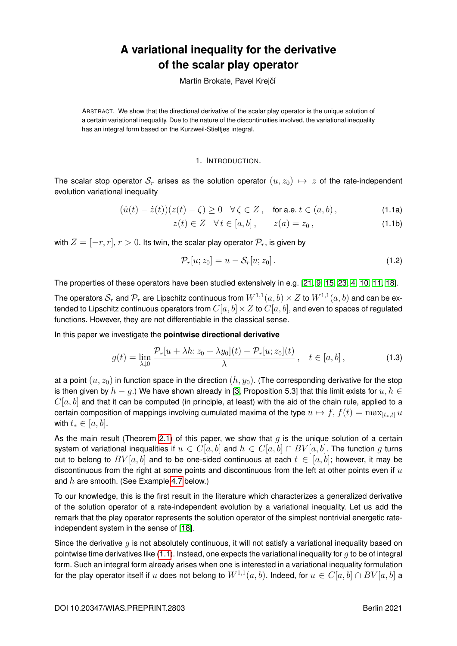# **A variational inequality for the derivative of the scalar play operator**

Martin Brokate, Pavel Krejčí

ABSTRACT. We show that the directional derivative of the scalar play operator is the unique solution of a certain variational inequality. Due to the nature of the discontinuities involved, the variational inequality has an integral form based on the Kurzweil-Stieltjes integral.

## <span id="page-2-1"></span>1. INTRODUCTION.

The scalar stop operator  $S_r$  arises as the solution operator  $(u, z_0) \mapsto z$  of the rate-independent evolution variational inequality

$$
(\dot{u}(t) - \dot{z}(t))(z(t) - \zeta) \ge 0 \quad \forall \zeta \in Z \,, \quad \text{for a.e. } t \in (a, b) \,, \tag{1.1a}
$$

<span id="page-2-0"></span> $z(t) \in Z \quad \forall t \in [a, b], \qquad z(a) = z_0,$  (1.1b)

with  $Z = [-r, r]$ ,  $r > 0$ . Its twin, the scalar play operator  $\mathcal{P}_r$ , is given by

$$
\mathcal{P}_r[u; z_0] = u - \mathcal{S}_r[u; z_0]. \tag{1.2}
$$

The properties of these operators have been studied extensively in e.g. [\[21,](#page-20-0) [9,](#page-19-0) [15,](#page-20-1) [23,](#page-20-2) [4,](#page-19-1) [10,](#page-19-2) [11,](#page-19-3) [18\]](#page-20-3).

The operators  $\mathcal{S}_r$  and  $\mathcal{P}_r$  are Lipschitz continuous from  $W^{1,1}(a,b)\times Z$  to  $W^{1,1}(a,b)$  and can be extended to Lipschitz continuous operators from  $C[a, b] \times Z$  to  $C[a, b]$ , and even to spaces of regulated functions. However, they are not differentiable in the classical sense.

In this paper we investigate the **pointwise directional derivative**

$$
g(t) = \lim_{\lambda \downarrow 0} \frac{\mathcal{P}_r[u + \lambda h; z_0 + \lambda y_0](t) - \mathcal{P}_r[u; z_0](t)}{\lambda}, \quad t \in [a, b],
$$
\n(1.3)

at a point  $(u, z_0)$  in function space in the direction  $(h, y_0)$ . (The corresponding derivative for the stop is then given by  $h - q$ .) We have shown already in [\[3,](#page-19-4) Proposition 5.3] that this limit exists for  $u, h \in$  $C[a, b]$  and that it can be computed (in principle, at least) with the aid of the chain rule, applied to a certain composition of mappings involving cumulated maxima of the type  $u \mapsto f$ ,  $f(t) = \max_{[t_*,t]} u$ with  $t_* \in [a, b]$ .

As the main result (Theorem [2.1\)](#page-4-0) of this paper, we show that  $q$  is the unique solution of a certain system of variational inequalities if  $u \in C[a, b]$  and  $h \in C[a, b] \cap BV[a, b]$ . The function q turns out to belong to  $BV[a, b]$  and to be one-sided continuous at each  $t \in [a, b]$ ; however, it may be discontinuous from the right at some points and discontinuous from the left at other points even if  $u$ and  $h$  are smooth. (See Example [4.7](#page-11-0) below.)

To our knowledge, this is the first result in the literature which characterizes a generalized derivative of the solution operator of a rate-independent evolution by a variational inequality. Let us add the remark that the play operator represents the solution operator of the simplest nontrivial energetic rateindependent system in the sense of [\[18\]](#page-20-3).

Since the derivative  $q$  is not absolutely continuous, it will not satisfy a variational inequality based on pointwise time derivatives like  $(1.1)$ . Instead, one expects the variational inequality for q to be of integral form. Such an integral form already arises when one is interested in a variational inequality formulation for the play operator itself if  $u$  does not belong to  $W^{1,1}(a,b).$  Indeed, for  $u\in C[a,b]\cap BV[a,b]$  a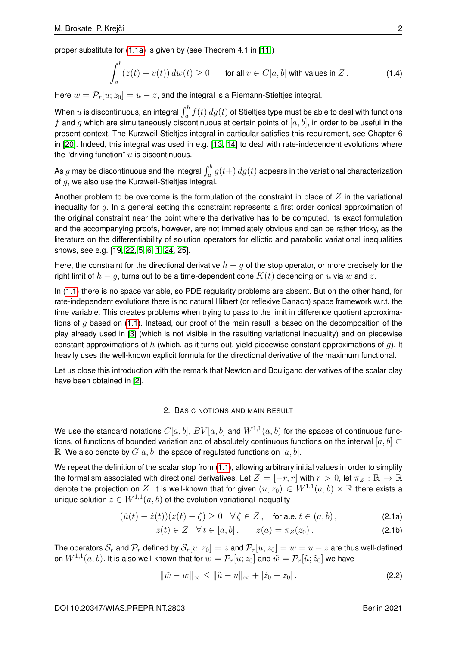proper substitute for [\(1.1a\)](#page-2-1) is given by (see Theorem 4.1 in [\[11\]](#page-19-3))

$$
\int_{a}^{b} (z(t) - v(t)) \, dw(t) \ge 0 \qquad \text{for all } v \in C[a, b] \text{ with values in } Z. \tag{1.4}
$$

Here  $w = \mathcal{P}_r[u; z_0] = u - z$ , and the integral is a Riemann-Stieltjes integral.

When  $u$  is discontinuous, an integral  $\int_a^b f(t)\,dg(t)$  of Stieltjes type must be able to deal with functions f and q which are simultaneously discontinuous at certain points of  $[a, b]$ , in order to be useful in the present context. The Kurzweil-Stieltjes integral in particular satisfies this requirement, see Chapter 6 in [\[20\]](#page-20-4). Indeed, this integral was used in e.g. [\[13,](#page-19-5) [14\]](#page-20-5) to deal with rate-independent evolutions where the "driving function"  $u$  is discontinuous.

As  $g$  may be discontinuous and the integral  $\int_a^b g(t+) \, dg(t)$  appears in the variational characterization of q, we also use the Kurzweil-Stieltjes integral.

Another problem to be overcome is the formulation of the constraint in place of  $Z$  in the variational inequality for  $q$ . In a general setting this constraint represents a first order conical approximation of the original constraint near the point where the derivative has to be computed. Its exact formulation and the accompanying proofs, however, are not immediately obvious and can be rather tricky, as the literature on the differentiability of solution operators for elliptic and parabolic variational inequalities shows, see e.g. [\[19,](#page-20-6) [22,](#page-20-7) [5,](#page-19-6) [6,](#page-19-7) [1,](#page-19-8) [24,](#page-20-8) [25\]](#page-20-9).

Here, the constraint for the directional derivative  $h - q$  of the stop operator, or more precisely for the right limit of  $h - q$ , turns out to be a time-dependent cone  $K(t)$  depending on u via w and z.

In [\(1.1\)](#page-2-0) there is no space variable, so PDE regularity problems are absent. But on the other hand, for rate-independent evolutions there is no natural Hilbert (or reflexive Banach) space framework w.r.t. the time variable. This creates problems when trying to pass to the limit in difference quotient approximations of  $q$  based on [\(1.1\)](#page-2-0). Instead, our proof of the main result is based on the decomposition of the play already used in [\[3\]](#page-19-4) (which is not visible in the resulting variational inequality) and on piecewise constant approximations of h (which, as it turns out, yield piecewise constant approximations of q). It heavily uses the well-known explicit formula for the directional derivative of the maximum functional.

Let us close this introduction with the remark that Newton and Bouligand derivatives of the scalar play have been obtained in [\[2\]](#page-19-9).

### 2. BASIC NOTIONS AND MAIN RESULT

We use the standard notations  $C[a,b],$   $BV[a,b]$  and  $W^{1,1}(a,b)$  for the spaces of continuous functions, of functions of bounded variation and of absolutely continuous functions on the interval  $[a, b] \subset$ R. We also denote by  $G[a, b]$  the space of regulated functions on  $[a, b]$ .

We repeat the definition of the scalar stop from  $(1.1)$ , allowing arbitrary initial values in order to simplify the formalism associated with directional derivatives. Let  $Z = [-r, r]$  with  $r > 0$ , let  $\pi_Z : \mathbb{R} \to \mathbb{R}$ denote the projection on  $Z.$  It is well-known that for given  $(u,z_0)\in W^{1,1}(a,b)\times \mathbb{R}$  there exists a unique solution  $z\in W^{1,1}(a,b)$  of the evolution variational inequality

$$
(\dot{u}(t) - \dot{z}(t))(z(t) - \zeta) \ge 0 \quad \forall \zeta \in Z, \quad \text{for a.e. } t \in (a, b), \tag{2.1a}
$$

<span id="page-3-1"></span>
$$
z(t) \in Z \quad \forall \, t \in [a, b], \qquad z(a) = \pi_Z(z_0). \tag{2.1b}
$$

The operators  $S_r$  and  $\mathcal{P}_r$  defined by  $S_r[u; z_0] = z$  and  $\mathcal{P}_r[u; z_0] = w = u - z$  are thus well-defined on  $W^{1,1}(a,b).$  It is also well-known that for  $w=\mathcal{P}_r[u;z_0]$  and  $\tilde{w}=\mathcal{P}_r[\tilde{u};\tilde{z}_0]$  we have

<span id="page-3-0"></span>
$$
\|\tilde{w} - w\|_{\infty} \le \|\tilde{u} - u\|_{\infty} + |\tilde{z}_0 - z_0|.
$$
 (2.2)

DOI 10.20347/WIAS.PREPRINT.2803 Berlin 2021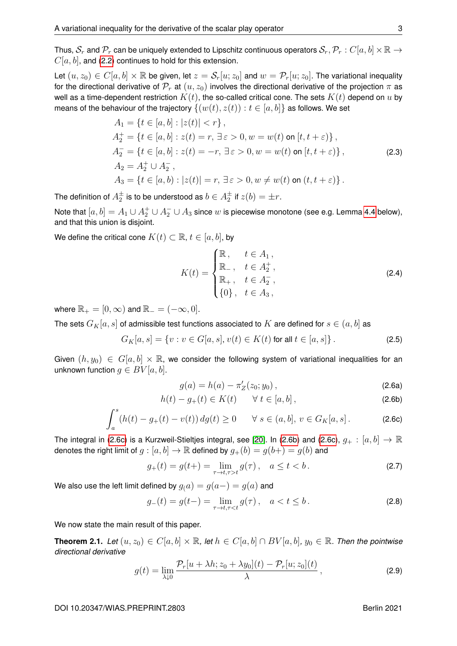Thus,  $S_r$  and  $\mathcal{P}_r$  can be uniquely extended to Lipschitz continuous operators  $S_r, \mathcal{P}_r : C[a, b] \times \mathbb{R} \to$  $C[a, b]$ , and [\(2.2\)](#page-3-0) continues to hold for this extension.

Let  $(u, z_0) \in C[a, b] \times \mathbb{R}$  be given, let  $z = \mathcal{S}_r[u; z_0]$  and  $w = \mathcal{P}_r[u; z_0]$ . The variational inequality for the directional derivative of  $\mathcal{P}_r$  at  $(u, z_0)$  involves the directional derivative of the projection  $\pi$  as well as a time-dependent restriction  $K(t)$ , the so-called critical cone. The sets  $K(t)$  depend on u by means of the behaviour of the trajectory  $\{(w(t), z(t)) : t \in [a, b]\}$  as follows. We set

$$
A_1 = \{t \in [a, b] : |z(t)| < r\},
$$
  
\n
$$
A_2^+ = \{t \in [a, b] : z(t) = r, \exists \varepsilon > 0, w = w(t) \text{ on } [t, t + \varepsilon)\},
$$
  
\n
$$
A_2^- = \{t \in [a, b] : z(t) = -r, \exists \varepsilon > 0, w = w(t) \text{ on } [t, t + \varepsilon)\},
$$
  
\n
$$
A_2 = A_2^+ \cup A_2^-,
$$
  
\n
$$
A_3 = \{t \in [a, b) : |z(t)| = r, \exists \varepsilon > 0, w \neq w(t) \text{ on } (t, t + \varepsilon)\}.
$$
\n(2.3)

<span id="page-4-7"></span>The definition of  $A_2^\pm$  is to be understood as  $b\in A_2^\pm$  if  $z(b)=\pm r.$ 

Note that  $[a,b]=A_1\cup A_2^+\cup A_2^-\cup A_3$  since  $w$  is piecewise monotone (see e.g. Lemma [4.4](#page-9-0) below), and that this union is disjoint.

We define the critical cone  $K(t) \subset \mathbb{R}$ ,  $t \in [a, b]$ , by

<span id="page-4-6"></span>
$$
K(t) = \begin{cases} \mathbb{R}, & t \in A_1, \\ \mathbb{R}_-, & t \in A_2^+, \\ \mathbb{R}_+, & t \in A_2^-, \\ \{0\}, & t \in A_3, \end{cases}
$$
 (2.4)

where  $\mathbb{R}_+ = [0, \infty)$  and  $\mathbb{R}_- = (-\infty, 0]$ .

The sets  $G_K[a, s]$  of admissible test functions associated to K are defined for  $s \in (a, b]$  as

$$
G_K[a, s] = \{v : v \in G[a, s], v(t) \in K(t) \text{ for all } t \in [a, s] \}.
$$
 (2.5)

Given  $(h, y_0) \in G[a, b] \times \mathbb{R}$ , we consider the following system of variational inequalities for an unknown function  $q \in BV[a, b]$ .

<span id="page-4-5"></span><span id="page-4-3"></span><span id="page-4-2"></span><span id="page-4-1"></span>
$$
g(a) = h(a) - \pi'_Z(z_0; y_0), \qquad (2.6a)
$$

$$
h(t) - g_{+}(t) \in K(t) \qquad \forall \ t \in [a, b], \tag{2.6b}
$$

$$
\int_{a}^{s} (h(t) - g_{+}(t) - v(t)) \, dg(t) \ge 0 \qquad \forall \ s \in (a, b], \ v \in G_{K}[a, s]. \tag{2.6c}
$$

The integral in [\(2.6c\)](#page-4-1) is a Kurzweil-Stieltjes integral, see [\[20\]](#page-20-4). In [\(2.6b\)](#page-4-2) and (2.6c),  $g_+:[a,b]\to\mathbb{R}$ denotes the right limit of  $q : [a, b] \to \mathbb{R}$  defined by  $q_+(b) = q(b+) = q(b)$  and

$$
g_{+}(t) = g(t+) = \lim_{\tau \to t, \tau > t} g(\tau), \quad a \le t < b. \tag{2.7}
$$

We also use the left limit defined by  $g(a) = g(a-) = g(a)$  and

$$
g_{-}(t) = g(t-) = \lim_{\tau \to t, \tau < t} g(\tau), \quad a < t \le b. \tag{2.8}
$$

We now state the main result of this paper.

<span id="page-4-0"></span>**Theorem 2.1.** *Let*  $(u, z_0) \in C[a, b] \times \mathbb{R}$ *, let*  $h \in C[a, b] \cap BV[a, b]$ *,*  $y_0 \in \mathbb{R}$ *. Then the pointwise directional derivative*

<span id="page-4-4"></span>
$$
g(t) = \lim_{\lambda \downarrow 0} \frac{\mathcal{P}_r[u + \lambda h; z_0 + \lambda y_0](t) - \mathcal{P}_r[u; z_0](t)}{\lambda}, \qquad (2.9)
$$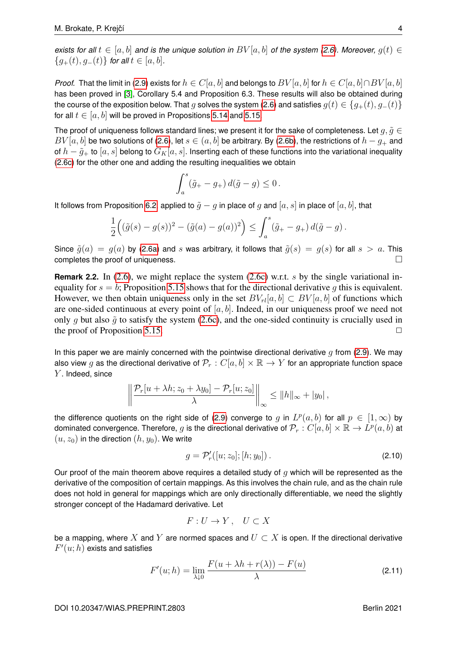*exists for all*  $t \in [a, b]$  *and is the unique solution in*  $BV[a, b]$  *of the system [\(2.6\)](#page-4-3). Moreover,*  $q(t) \in$  ${g_{+}(t), g_{-}(t)}$  *for all*  $t \in [a, b]$ *.* 

*Proof.* That the limit in [\(2.9\)](#page-4-4) exists for  $h \in C[a, b]$  and belongs to  $BV[a, b]$  for  $h \in C[a, b] \cap BV[a, b]$ has been proved in [\[3\]](#page-19-4), Corollary 5.4 and Proposition 6.3. These results will also be obtained during the course of the exposition below. That g solves the system [\(2.6\)](#page-4-3) and satisfies  $g(t) \in \{g_+(t), g_-(t)\}\$ for all  $t \in [a, b]$  will be proved in Propositions [5.14](#page-17-0) and [5.15.](#page-18-0)

The proof of uniqueness follows standard lines; we present it for the sake of completeness. Let  $q, \tilde{q} \in$  $BV[a, b]$  be two solutions of [\(2.6\)](#page-4-3), let  $s \in (a, b]$  be arbitrary. By [\(2.6b\)](#page-4-2), the restrictions of  $h - q_+$  and of  $h - \tilde{g}_+$  to  $[a, s]$  belong to  $G_K[a, s]$ . Inserting each of these functions into the variational inequality [\(2.6c\)](#page-4-1) for the other one and adding the resulting inequalities we obtain

$$
\int_a^s (\tilde{g}_+ - g_+) \, d(\tilde{g} - g) \le 0 \, .
$$

It follows from Proposition [6.2,](#page-19-10) applied to  $\tilde{q} - q$  in place of q and  $[a, s]$  in place of  $[a, b]$ , that

$$
\frac{1}{2} ((\tilde{g}(s) - g(s))^2 - (\tilde{g}(a) - g(a))^2) \le \int_a^s (\tilde{g}_+ - g_+) d(\tilde{g} - g).
$$

Since  $\tilde{g}(a) = g(a)$  by [\(2.6a\)](#page-4-5) and s was arbitrary, it follows that  $\tilde{g}(s) = g(s)$  for all  $s > a$ . This completes the proof of uniqueness.

**Remark 2.2.** In [\(2.6\)](#page-4-3), we might replace the system [\(2.6c\)](#page-4-1) w.r.t. s by the single variational inequality for  $s = b$ ; Proposition [5.15](#page-18-0) shows that for the directional derivative g this is equivalent. However, we then obtain uniqueness only in the set  $BV_{rl}[a, b] \subset BV[a, b]$  of functions which are one-sided continuous at every point of  $[a, b]$ . Indeed, in our uniqueness proof we need not only q but also  $\tilde{q}$  to satisfy the system [\(2.6c\)](#page-4-1), and the one-sided continuity is crucially used in the proof of Proposition [5.15.](#page-18-0)  $\Box$ 

In this paper we are mainly concerned with the pointwise directional derivative  $q$  from [\(2.9\)](#page-4-4). We may also view g as the directional derivative of  $\mathcal{P}_r : C[a, b] \times \mathbb{R} \to Y$  for an appropriate function space  $Y$ . Indeed, since

$$
\left\|\frac{\mathcal{P}_r[u+\lambda h; z_0+\lambda y_0]-\mathcal{P}_r[u; z_0]}{\lambda}\right\|_{\infty}\leq \|h\|_{\infty}+|y_0|,
$$

the difference quotients on the right side of [\(2.9\)](#page-4-4) converge to  $g$  in  $L^p(a,b)$  for all  $p\,\in\,[1,\infty)$  by dominated convergence. Therefore,  $g$  is the directional derivative of  $\mathcal{P}_r:C[a,b]\times\mathbb{R}\to L^p(a,b)$  at  $(u, z_0)$  in the direction  $(h, y_0)$ . We write

$$
g = \mathcal{P}'_r([u; z_0]; [h; y_0]) \,. \tag{2.10}
$$

Our proof of the main theorem above requires a detailed study of  $q$  which will be represented as the derivative of the composition of certain mappings. As this involves the chain rule, and as the chain rule does not hold in general for mappings which are only directionally differentiable, we need the slightly stronger concept of the Hadamard derivative. Let

$$
F: U \to Y, \quad U \subset X
$$

be a mapping, where X and Y are normed spaces and  $U \subset X$  is open. If the directional derivative  $F'(u;h)$  exists and satisfies

$$
F'(u; h) = \lim_{\lambda \downarrow 0} \frac{F(u + \lambda h + r(\lambda)) - F(u)}{\lambda}
$$
\n(2.11)

DOI 10.20347/WIAS.PREPRINT.2803 Berlin 2021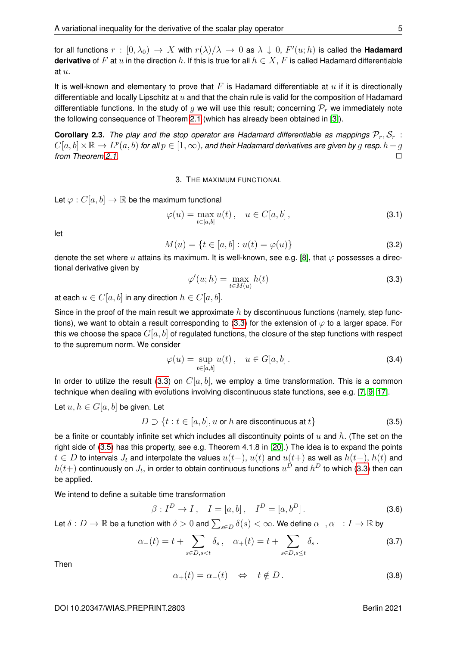for all functions  $r\,:\,[0,\lambda_0)\,\to\,X$  with  $r(\lambda)/\lambda\,\to\,0$  as  $\lambda\,\downarrow\,0,\,F'(u;h)$  is called the **Hadamard derivative** of F at u in the direction h. If this is true for all  $h \in X$ , F is called Hadamard differentiable at u.

It is well-known and elementary to prove that  $F$  is Hadamard differentiable at  $u$  if it is directionally differentiable and locally Lipschitz at  $u$  and that the chain rule is valid for the composition of Hadamard differentiable functions. In the study of g we will use this result; concerning  $P_r$  we immediately note the following consequence of Theorem [2.1](#page-4-0) (which has already been obtained in [\[3\]](#page-19-4)).

**Corollary 2.3.** *The play and the stop operator are Hadamard differentiable as mappings*  $\mathcal{P}_r$ ,  $\mathcal{S}_r$  :  $C[a,b]\times\mathbb{R}\to L^p(a,b)$  for all  $p\in[1,\infty)$ , and their Hadamard derivatives are given by  $g$  resp.  $h-g$ *from Theorem [2.1.](#page-4-0)* ◯

3. THE MAXIMUM FUNCTIONAL

Let  $\varphi: C[a, b] \to \mathbb{R}$  be the maximum functional

$$
\varphi(u) = \max_{t \in [a,b]} u(t), \quad u \in C[a,b], \tag{3.1}
$$

let

$$
M(u) = \{ t \in [a, b] : u(t) = \varphi(u) \}
$$
 (3.2)

denote the set where u attains its maximum. It is well-known, see e.g. [\[8\]](#page-19-11), that  $\varphi$  possesses a directional derivative given by

<span id="page-6-0"></span>
$$
\varphi'(u; h) = \max_{t \in M(u)} h(t) \tag{3.3}
$$

at each  $u \in C[a, b]$  in any direction  $h \in C[a, b]$ .

Since in the proof of the main result we approximate  $h$  by discontinuous functions (namely, step func-tions), we want to obtain a result corresponding to [\(3.3\)](#page-6-0) for the extension of  $\varphi$  to a larger space. For this we choose the space  $G[a, b]$  of regulated functions, the closure of the step functions with respect to the supremum norm. We consider

$$
\varphi(u) = \sup_{t \in [a,b]} u(t), \quad u \in G[a,b].
$$
\n(3.4)

In order to utilize the result [\(3.3\)](#page-6-0) on  $C[a, b]$ , we employ a time transformation. This is a common technique when dealing with evolutions involving discontinuous state functions, see e.g. [\[7,](#page-19-12) [9,](#page-19-0) [17\]](#page-20-10).

Let  $u, h \in G[a, b]$  be given. Let

<span id="page-6-1"></span>
$$
D \supset \{t : t \in [a, b], u \text{ or } h \text{ are discontinuous at } t\}
$$
\n
$$
(3.5)
$$

be a finite or countably infinite set which includes all discontinuity points of u and h. (The set on the right side of [\(3.5\)](#page-6-1) has this property, see e.g. Theorem 4.1.8 in [\[20\]](#page-20-4).) The idea is to expand the points  $t \in D$  to intervals  $J_t$  and interpolate the values  $u(t-)$ ,  $u(t)$  and  $u(t+)$  as well as  $h(t-)$ ,  $h(t)$  and  $h(t+)$  continuously on  $J_t$ , in order to obtain continuous functions  $u^D$  and  $h^D$  to which [\(3.3\)](#page-6-0) then can be applied.

We intend to define a suitable time transformation

$$
\beta: I^{D} \to I, \quad I = [a, b], \quad I^{D} = [a, b^{D}].
$$
 (3.6)

Let  $\delta:D\to\mathbb{R}$  be a function with  $\delta>0$  and  $\sum_{s\in D}\delta(s)<\infty.$  We define  $\alpha_+,\alpha_-:I\to\mathbb{R}$  by

$$
\alpha_{-}(t) = t + \sum_{s \in D, s < t} \delta_s \,, \quad \alpha_{+}(t) = t + \sum_{s \in D, s \le t} \delta_s \,. \tag{3.7}
$$

Then

<span id="page-6-2"></span>
$$
\alpha_+(t) = \alpha_-(t) \quad \Leftrightarrow \quad t \notin D \,. \tag{3.8}
$$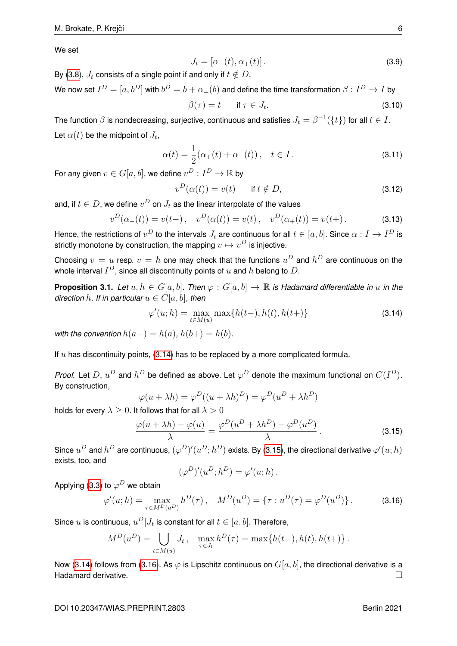We set

$$
J_t = [\alpha_-(t), \alpha_+(t)]. \tag{3.9}
$$

By [\(3.8\)](#page-6-2),  $J_t$  consists of a single point if and only if  $t \notin D$ .

We now set  $I^D=[a,b^D]$  with  $b^D=b+\alpha_+(b)$  and define the time transformation  $\beta:I^D\to I$  by  $\beta(\tau) = t$  if  $\tau \in J_t$ .  $(3.10)$ 

The function  $\beta$  is nondecreasing, surjective, continuous and satisfies  $J_t = \beta^{-1}(\{t\})$  for all  $t \in I.$ Let  $\alpha(t)$  be the midpoint of  $J_t,$ 

<span id="page-7-4"></span>
$$
\alpha(t) = \frac{1}{2}(\alpha_+(t) + \alpha_-(t)), \quad t \in I.
$$
 (3.11)

For any given  $v \in G[a,b]$ , we define  $v^D: I^D \to \mathbb{R}$  by

$$
v^D(\alpha(t)) = v(t) \quad \text{if } t \notin D,
$$
\n(3.12)

and, if  $t\in D,$  we define  $v^D$  on  $J_t$  as the linear interpolate of the values

<span id="page-7-5"></span>
$$
v^{D}(\alpha_{-}(t)) = v(t-), \quad v^{D}(\alpha(t)) = v(t), \quad v^{D}(\alpha_{+}(t)) = v(t+).
$$
 (3.13)

Hence, the restrictions of  $v^D$  to the intervals  $J_t$  are continuous for all  $t\in[a,b].$  Since  $\alpha:I\to I^D$  is strictly monotone by construction, the mapping  $v\mapsto v^D$  is injective.

Choosing  $v = u$  resp.  $v = h$  one may check that the functions  $u^D$  and  $h^D$  are continuous on the whole interval  $I^D$ , since all discontinuity points of  $u$  and  $h$  belong to  $D.$ 

<span id="page-7-3"></span>**Proposition 3.1.** *Let*  $u, h \in G[a, b]$ *. Then*  $\varphi : G[a, b] \to \mathbb{R}$  *is Hadamard differentiable in*  $u$  *in the direction* h. If in particular  $u \in C[a, b]$ , then

<span id="page-7-0"></span>
$$
\varphi'(u; h) = \max_{t \in M(u)} \max\{h(t-), h(t), h(t+)\}
$$
\n(3.14)

*with the convention*  $h(a-) = h(a)$ ,  $h(b+) = h(b)$ .

If  $u$  has discontinuity points, [\(3.14\)](#page-7-0) has to be replaced by a more complicated formula.

*Proof.* Let D,  $u^D$  and  $h^D$  be defined as above. Let  $\varphi^D$  denote the maximum functional on  $C(I^D)$ . By construction,

$$
\varphi(u + \lambda h) = \varphi^{D}((u + \lambda h)^{D}) = \varphi^{D}(u^{D} + \lambda h^{D})
$$

holds for every  $\lambda > 0$ . It follows that for all  $\lambda > 0$ 

<span id="page-7-1"></span>
$$
\frac{\varphi(u+\lambda h)-\varphi(u)}{\lambda}=\frac{\varphi^D(u^D+\lambda h^D)-\varphi^D(u^D)}{\lambda}.
$$
\n(3.15)

Since  $u^D$  and  $h^D$  are continuous,  $(\varphi^D)'(u^D; h^D)$  exists. By [\(3.15\)](#page-7-1), the directional derivative  $\varphi'(u;h)$ exists, too, and

$$
(\varphi^D)'(u^D; h^D) = \varphi'(u; h).
$$

Applying [\(3.3\)](#page-6-0) to  $\varphi^D$  we obtain

<span id="page-7-2"></span>
$$
\varphi'(u; h) = \max_{\tau \in M^D(u^D)} h^D(\tau), \quad M^D(u^D) = \{ \tau : u^D(\tau) = \varphi^D(u^D) \}.
$$
 (3.16)

Since  $u$  is continuous,  $u^D|J_t$  is constant for all  $t\in [a,b].$  Therefore,

$$
M^{D}(u^{D}) = \bigcup_{t \in M(u)} J_{t}, \quad \max_{\tau \in J_{t}} h^{D}(\tau) = \max\{h(t-), h(t), h(t+)\}.
$$

Now [\(3.14\)](#page-7-0) follows from [\(3.16\)](#page-7-2). As  $\varphi$  is Lipschitz continuous on  $G[a, b]$ , the directional derivative is a Hadamard derivative.  $\square$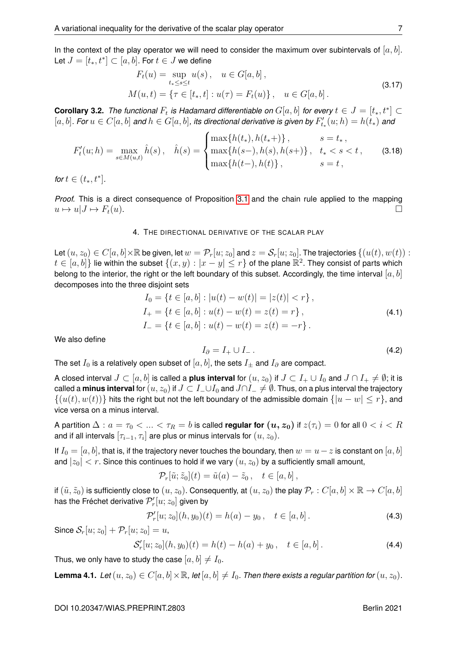In the context of the play operator we will need to consider the maximum over subintervals of  $[a, b]$ . Let  $J=[t_*,t^*]\subset[a,b].$  For  $t\in J$  we define

$$
F_t(u) = \sup_{t_* \le s \le t} u(s), \quad u \in G[a, b],
$$
  
\n
$$
M(u, t) = \{ \tau \in [t_*, t] : u(\tau) = F_t(u) \}, \quad u \in G[a, b].
$$
\n(3.17)

<span id="page-8-2"></span><span id="page-8-1"></span>**Corollary 3.2.** The functional  $F_t$  is Hadamard differentiable on  $G[a, b]$  for every  $t \in J = [t_*, t^*] \subset I$  $[a, b]$ *. For*  $u \in C[a, b]$  and  $h \in G[a, b]$ , its directional derivative is given by  $F'_{t_*}(u; h) = h(t_*)$  and

<span id="page-8-0"></span>
$$
F'_{t}(u; h) = \max_{s \in M(u,t)} \hat{h}(s), \quad \hat{h}(s) = \begin{cases} \max\{h(t_{*}), h(t_{*}+) \}, & s = t_{*}, \\ \max\{h(s-), h(s), h(s+) \}, & t_{*} < s < t, \\ \max\{h(t-), h(t) \}, & s = t, \end{cases}
$$
(3.18)

*for*  $t \in (t_*, t^*].$ 

*Proof.* This is a direct consequence of Proposition [3.1](#page-7-3) and the chain rule applied to the mapping  $u \mapsto u|J \mapsto F_t(u).$ 

#### 4. THE DIRECTIONAL DERIVATIVE OF THE SCALAR PLAY

Let  $(u, z_0) \in C[a, b] \times \mathbb{R}$  be given, let  $w = \mathcal{P}_r[u; z_0]$  and  $z = \mathcal{S}_r[u; z_0]$ . The trajectories  $\{(u(t), w(t)) :$  $t\in [a,b]$ } lie within the subset  $\{(x,y): |x-y|\leq r\}$  of the plane  $\mathbb{R}^2$ . They consist of parts which belong to the interior, the right or the left boundary of this subset. Accordingly, the time interval  $[a, b]$ decomposes into the three disjoint sets

$$
I_0 = \{t \in [a, b] : |u(t) - w(t)| = |z(t)| < r\},
$$
  
\n
$$
I_+ = \{t \in [a, b] : u(t) - w(t) = z(t) = r\},
$$
  
\n
$$
I_- = \{t \in [a, b] : u(t) - w(t) = z(t) = -r\}.
$$
\n(4.1)

We also define

$$
I_{\partial} = I_+ \cup I_- \,. \tag{4.2}
$$

The set  $I_0$  is a relatively open subset of  $[a, b]$ , the sets  $I_{\pm}$  and  $I_{\partial}$  are compact.

A closed interval  $J \subset [a, b]$  is called a **plus interval** for  $(u, z_0)$  if  $J \subset I_+ \cup I_0$  and  $J \cap I_+ \neq \emptyset$ ; it is called a **minus interval** for  $(u, z_0)$  if  $J \subset I_- \cup I_0$  and  $J \cap I_- \neq \emptyset$ . Thus, on a plus interval the trajectory  $\{(u(t), w(t))\}$  hits the right but not the left boundary of the admissible domain  $\{|u - w| \le r\}$ , and vice versa on a minus interval.

A partition  $\Delta: a = \tau_0 < ... < \tau_R = b$  is called **regular for**  $(u, z_0)$  if  $z(\tau_i) = 0$  for all  $0 < i < R$ and if all intervals  $[\tau_{i-1}, \tau_i]$  are plus or minus intervals for  $(u, z_0).$ 

If  $I_0 = [a, b]$ , that is, if the trajectory never touches the boundary, then  $w = u - z$  is constant on  $[a, b]$ and  $|z_0| < r$ . Since this continues to hold if we vary  $(u, z_0)$  by a sufficiently small amount,

$$
\mathcal{P}_r[\tilde{u};\tilde{z}_0](t) = \tilde{u}(a) - \tilde{z}_0, \quad t \in [a,b],
$$

if  $(\tilde{u}, \tilde{z}_0)$  is sufficiently close to  $(u, z_0)$ . Consequently, at  $(u, z_0)$  the play  $\mathcal{P}_r : C[a, b] \times \mathbb{R} \to C[a, b]$ has the Fréchet derivative  $\mathcal{P}'_r[u;z_0]$  given by

$$
\mathcal{P}'_r[u; z_0](h, y_0)(t) = h(a) - y_0, \quad t \in [a, b]. \tag{4.3}
$$

Since  $S_r[u; z_0] + \mathcal{P}_r[u; z_0] = u$ ,

$$
\mathcal{S}'_r[u; z_0](h, y_0)(t) = h(t) - h(a) + y_0, \quad t \in [a, b]. \tag{4.4}
$$

Thus, we only have to study the case  $[a, b] \neq I_0$ .

**Lemma 4.1.** *Let*  $(u, z_0) \in C[a, b] \times \mathbb{R}$ , *let*  $[a, b] \neq I_0$ *. Then there exists a regular partition for*  $(u, z_0)$ *.*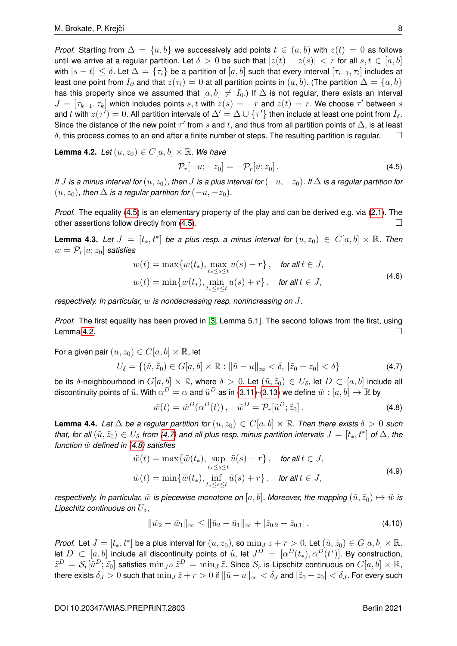*Proof.* Starting from  $\Delta = \{a, b\}$  we successively add points  $t \in (a, b)$  with  $z(t) = 0$  as follows until we arrive at a regular partition. Let  $\delta > 0$  be such that  $|z(t) - z(s)| < r$  for all  $s, t \in [a, b]$ with  $|s-t|\leq \delta.$  Let  $\Delta=\{\tau_i\}$  be a partition of  $[a,b]$  such that every interval  $[\tau_{i-1},\tau_i]$  includes at least one point from  $I_{\partial}$  and that  $z(\tau_i) = 0$  at all partition points in  $(a, b)$ . (The partition  $\Delta = \{a, b\}$ has this property since we assumed that  $[a, b] \neq I_0$ .) If  $\Delta$  is not regular, there exists an interval  $J = [\tau_{k-1}, \tau_k]$  which includes points  $s, t$  with  $z(s) = -r$  and  $z(t) = r$ . We choose  $\tau'$  between  $s$ and  $t$  with  $z(\tau')=0.$  All partition intervals of  $\Delta'=\Delta\cup\{\tau'\}$  then include at least one point from  $I_\delta.$ Since the distance of the new point  $\tau'$  from s and t, and thus from all partition points of  $\Delta$ , is at least  $\delta$ , this process comes to an end after a finite number of steps. The resulting partition is regular.  $\Box$ 

<span id="page-9-2"></span>**Lemma 4.2.** *Let*  $(u, z_0) \in C[a, b] \times \mathbb{R}$ *. We have* 

<span id="page-9-1"></span>
$$
\mathcal{P}_r[-u; -z_0] = -\mathcal{P}_r[u; z_0]. \tag{4.5}
$$

*If* J is a minus interval for  $(u, z_0)$ , then J is a plus interval for  $(-u, -z_0)$ . If  $\Delta$  is a regular partition for  $(u, z_0)$ , then  $\Delta$  *is a regular partition for*  $(-u, -z_0)$ *.* 

*Proof.* The equality [\(4.5\)](#page-9-1) is an elementary property of the play and can be derived e.g. via [\(2.1\)](#page-3-1). The other assertions follow directly from  $(4.5)$ .

<span id="page-9-5"></span>**Lemma 4.3.** Let  $J = [t_*, t^*]$  be a plus resp. a minus interval for  $(u, z_0) \in C[a, b] \times \mathbb{R}$ . Then  $w = \mathcal{P}_r[u; z_0]$  *satisfies* 

$$
w(t) = \max\{w(t_*)\}, \max_{t_* \le s \le t} u(s) - r\}, \quad \text{for all } t \in J,
$$
  

$$
w(t) = \min\{w(t_*)\}, \min_{t_* \le s \le t} u(s) + r\}, \quad \text{for all } t \in J,
$$
 (4.6)

*respectively. In particular,* w *is nondecreasing resp. nonincreasing on* J*.*

*Proof.* The first equality has been proved in [\[3,](#page-19-4) Lemma 5.1]. The second follows from the first, using Lemma [4.2.](#page-9-2)

For a given pair  $(u, z_0) \in C[a, b] \times \mathbb{R}$ , let

<span id="page-9-3"></span>
$$
U_{\delta} = \{ (\tilde{u}, \tilde{z}_0) \in G[a, b] \times \mathbb{R} : ||\tilde{u} - u||_{\infty} < \delta, \, |\tilde{z}_0 - z_0| < \delta \}
$$
 (4.7)

be its  $\delta$ -neighbourhood in  $G[a, b] \times \mathbb{R}$ , where  $\delta > 0$ . Let  $(\tilde{u}, \tilde{z}_0) \in U_{\delta}$ , let  $D \subset [a, b]$  include all discontinuity points of  $\tilde u.$  With  $\alpha^D=\alpha$  and  $\tilde u^D$  as in [\(3.11\)](#page-7-4)-[\(3.13\)](#page-7-5) we define  $\tilde w:[a,b]\to\mathbb R$  by

<span id="page-9-4"></span>
$$
\tilde{w}(t) = \tilde{w}^D(\alpha^D(t)), \quad \tilde{w}^D = \mathcal{P}_r[\tilde{u}^D; \tilde{z}_0]. \tag{4.8}
$$

<span id="page-9-0"></span>**Lemma 4.4.** *Let*  $\Delta$  *be a regular partition for*  $(u, z_0) \in C[a, b] \times \mathbb{R}$ *. Then there exists*  $\delta > 0$  *such that, for all*  $(\tilde{u}, \tilde{z}_0) \in U_\delta$  *from [\(4.7\)](#page-9-3) and all plus resp. minus partition intervals*  $J = [t_*, t^*]$  *of*  $\Delta$ *, the function*  $\tilde{w}$  *defined in [\(4.8\)](#page-9-4)* satisfies

$$
\tilde{w}(t) = \max\{\tilde{w}(t_*)\}, \sup_{t_* \le s \le t} \tilde{u}(s) - r\}, \quad \text{for all } t \in J,
$$
\n
$$
\tilde{w}(t) = \min\{\tilde{w}(t_*)\}, \inf_{t_* \le s \le t} \tilde{u}(s) + r\}, \quad \text{for all } t \in J,
$$
\n
$$
(4.9)
$$

<span id="page-9-6"></span>*respectively. In particular,*  $\tilde{w}$  *is piecewise monotone on* [a, b]. Moreover, the mapping  $(\tilde{u}, \tilde{z}_0) \mapsto \tilde{w}$  *is Lipschitz continuous on*  $U_{\delta}$ ,

<span id="page-9-7"></span>
$$
\|\tilde{w}_2 - \tilde{w}_1\|_{\infty} \le \|\tilde{u}_2 - \tilde{u}_1\|_{\infty} + |\tilde{z}_{0,2} - \tilde{z}_{0,1}|.
$$
\n(4.10)

*Proof.* Let  $J = [t_*, t^*]$  be a plus interval for  $(u, z_0)$ , so  $\min_J z + r > 0$ . Let  $(\tilde{u}, \tilde{z}_0) \in G[a, b] \times \mathbb{R}$ . let  $D\, \subset\, [a,b]$  include all discontinuity points of  $\tilde u$ , let  $J^D\, =\, [\alpha^D(t_*),\alpha^D(t^*)].$  By construction,  $\tilde{z}^D=\mathcal{S}_r[\tilde{u}^D;\tilde{z_0}]$  satisfies  $\min_{J^D}\tilde{z}^D=\min_{J}\tilde{z}.$  Since  $\mathcal{S}_r$  is Lipschitz continuous on  $C[a,b]\times\mathbb{R},$ there exists  $\delta_J > 0$  such that  $\min_J \tilde{z} + r > 0$  if  $\|\tilde{u} - u\|_{\infty} < \delta_J$  and  $|\tilde{z}_0 - z_0| < \delta_J$ . For every such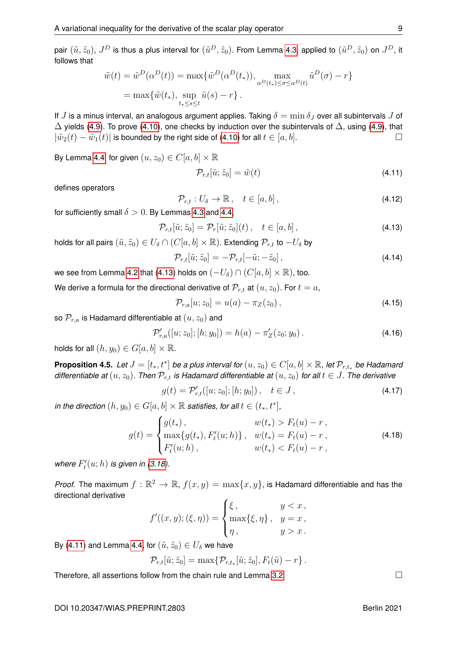pair  $(\tilde u,\tilde z_0)$ ,  $J^D$  is thus a plus interval for  $(\tilde u^D,\tilde z_0)$ . From Lemma [4.3,](#page-9-5) applied to  $(\tilde u^D,\tilde z_0)$  on  $J^D$ , it follows that

$$
\tilde{w}(t) = \tilde{w}^D(\alpha^D(t)) = \max{\{\tilde{w}^D(\alpha^D(t_*)), \max_{\alpha^D(t_*) \le \sigma \le \alpha^D(t)} \tilde{u}^D(\sigma) - r\}}
$$

$$
= \max{\{\tilde{w}(t_*), \sup_{t_* \le s \le t} \tilde{u}(s) - r\}}.
$$

If J is a minus interval, an analogous argument applies. Taking  $\delta = \min \delta_J$  over all subintervals J of  $\Delta$  yields [\(4.9\)](#page-9-6). To prove [\(4.10\)](#page-9-7), one checks by induction over the subintervals of  $\Delta$ , using (4.9), that  $|\tilde{w}_2(t) - \tilde{w}_1(t)|$  is bounded by the right side of [\(4.10\)](#page-9-7) for all  $t \in [a, b]$ .

By Lemma [4.4,](#page-9-0) for given  $(u, z_0) \in C[a, b] \times \mathbb{R}$ 

<span id="page-10-1"></span>
$$
\mathcal{P}_{r,t}[\tilde{u};\tilde{z}_0] = \tilde{w}(t) \tag{4.11}
$$

defines operators

$$
\mathcal{P}_{r,t}: U_{\delta} \to \mathbb{R}, \quad t \in [a, b], \tag{4.12}
$$

for sufficiently small  $\delta > 0$ . By Lemmas [4.3](#page-9-5) and [4.4,](#page-9-0)

<span id="page-10-0"></span>
$$
\mathcal{P}_{r,t}[\tilde{u};\tilde{z}_0] = \mathcal{P}_r[\tilde{u};\tilde{z}_0](t), \quad t \in [a,b], \tag{4.13}
$$

holds for all pairs  $(\tilde{u}, \tilde{z}_0) \in U_\delta \cap (C[a, b] \times \mathbb{R})$ . Extending  $\mathcal{P}_{r,t}$  to  $-U_\delta$  by

<span id="page-10-2"></span>
$$
\mathcal{P}_{r,t}[\tilde{u};\tilde{z}_0] = -\mathcal{P}_{r,t}[-\tilde{u};-\tilde{z}_0],\tag{4.14}
$$

we see from Lemma [4.2](#page-9-2) that [\(4.13\)](#page-10-0) holds on  $(-U_\delta) \cap (C[a, b] \times \mathbb{R})$ , too.

We derive a formula for the directional derivative of  $\mathcal{P}_{r,t}$  at  $(u, z_0)$ . For  $t = a$ ,

<span id="page-10-3"></span>
$$
\mathcal{P}_{r,a}[u; z_0] = u(a) - \pi_Z(z_0), \qquad (4.15)
$$

so  $\mathcal{P}_{r,a}$  is Hadamard differentiable at  $(u, z_0)$  and

<span id="page-10-4"></span>
$$
\mathcal{P}'_{r,a}([u; z_0]; [h; y_0]) = h(a) - \pi'_Z(z_0; y_0).
$$
\n(4.16)

holds for all  $(h, y_0) \in G[a, b] \times \mathbb{R}$ .

<span id="page-10-5"></span>**Proposition 4.5.** Let  $J = [t_*, t^*]$  be a plus interval for  $(u, z_0) \in C[a, b] \times \mathbb{R}$ , let  $\mathcal{P}_{r,t_*}$  be Hadamard *differentiable at*  $(u, z_0)$ . Then  $\mathcal{P}_{r,t}$  *is Hadamard differentiable at*  $(u, z_0)$  *for all*  $t \in J$ . The derivative

$$
g(t) = \mathcal{P}'_{r,t}([u; z_0]; [h; y_0]), \quad t \in J,
$$
\n(4.17)

*in the direction*  $(h, y_0) \in G[a, b] \times \mathbb{R}$  satisfies, for all  $t \in (t_*, t^*]$ ,

<span id="page-10-6"></span>
$$
g(t) = \begin{cases} g(t_*)\,, & w(t_*) > F_t(u) - r\,, \\ \max\{g(t_*)\,, F'_t(u; h)\}\,, & w(t_*) = F_t(u) - r\,, \\ F'_t(u; h)\,, & w(t_*) < F_t(u) - r\,, \end{cases}
$$
(4.18)

where  $F'_t(u; h)$  is given in [\(3.18\)](#page-8-0).

*Proof.* The maximum  $f : \mathbb{R}^2 \to \mathbb{R}$ ,  $f(x, y) = \max\{x, y\}$ , is Hadamard differentiable and has the directional derivative

$$
f'((x, y); (\xi, \eta)) = \begin{cases} \xi, & y < x, \\ \max{\{\xi, \eta\}}, & y = x, \\ \eta, & y > x. \end{cases}
$$

By [\(4.11\)](#page-10-1) and Lemma [4.4,](#page-9-0) for  $(\tilde{u}, \tilde{z}_0) \in U_{\delta}$  we have

$$
\mathcal{P}_{r,t}[\tilde{u};\tilde{z}_0] = \max\{\mathcal{P}_{r,t_*}[\tilde{u};\tilde{z}_0], F_t(\tilde{u}) - r\}.
$$

Therefore, all assertions follow from the chain rule and Lemma [3.2.](#page-8-1)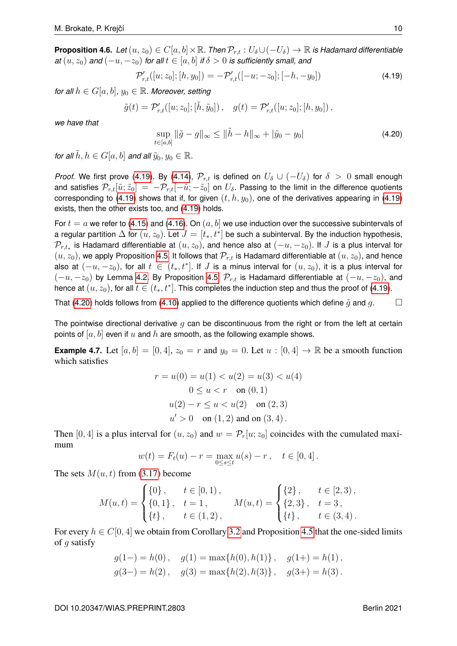<span id="page-11-3"></span>**Proposition 4.6.** *Let*  $(u, z_0) \in C[a, b] \times \mathbb{R}$ . *Then*  $\mathcal{P}_{r,t} : U_\delta \cup (-U_\delta) \to \mathbb{R}$  *is Hadamard differentiable at*  $(u, z_0)$  *and*  $(-u, -z_0)$  *for all*  $t \in [a, b]$  *if*  $\delta > 0$  *is sufficiently small, and* 

<span id="page-11-1"></span>
$$
\mathcal{P}'_{r,t}([u; z_0]; [h, y_0]) = -\mathcal{P}'_{r,t}([-u; -z_0]; [-h, -y_0])
$$
\n(4.19)

*for all*  $h \in G[a, b]$ ,  $y_0 \in \mathbb{R}$ . Moreover, setting

$$
\tilde{g}(t) = \mathcal{P}'_{r,t}([u; z_0]; [\tilde{h}, \tilde{y}_0]), \quad g(t) = \mathcal{P}'_{r,t}([u; z_0]; [h, y_0]),
$$

*we have that*

<span id="page-11-2"></span>
$$
\sup_{t \in [a,b]} \|\tilde{g} - g\|_{\infty} \le \|\tilde{h} - h\|_{\infty} + |\tilde{y}_0 - y_0| \tag{4.20}
$$

*for all*  $\tilde{h}$ ,  $h \in G[a, b]$  *and all*  $\tilde{y}_0, y_0 \in \mathbb{R}$ .

*Proof.* We first prove [\(4.19\)](#page-11-1). By [\(4.14\)](#page-10-2),  $\mathcal{P}_{r,t}$  is defined on  $U_\delta \cup (-U_\delta)$  for  $\delta > 0$  small enough and satisfies  $\mathcal{P}_{r,t}[\tilde{u};\tilde{z}_0] = -\mathcal{P}_{r,t}[-\tilde{u};-\tilde{z}_0]$  on  $U_\delta$ . Passing to the limit in the difference quotients corresponding to [\(4.19\)](#page-11-1) shows that if, for given  $(t, h, y_0)$ , one of the derivatives appearing in (4.19) exists, then the other exists too, and [\(4.19\)](#page-11-1) holds.

For  $t = a$  we refer to [\(4.15\)](#page-10-3) and [\(4.16\)](#page-10-4). On  $(a, b]$  we use induction over the successive subintervals of a regular partition  $\Delta$  for  $(u,z_0).$  Let  $J=[t_*,t^*]$  be such a subinterval. By the induction hypothesis,  $\mathcal{P}_{r,t_*}$  is Hadamard differentiable at  $(u,z_0)$ , and hence also at  $(-u,-z_0).$  If  $J$  is a plus interval for  $(u, z_0)$ , we apply Proposition [4.5.](#page-10-5) It follows that  $\mathcal{P}_{r,t}$  is Hadamard differentiable at  $(u, z_0)$ , and hence also at  $(-u,-z_0),$  for all  $t\,\in\, (t_*,t^*].$  If  $J$  is a minus interval for  $(u,z_0),$  it is a plus interval for  $(-u, -z_0)$  by Lemma [4.2.](#page-9-2) By Proposition [4.5,](#page-10-5)  $\mathcal{P}_{r,t}$  is Hadamard differentiable at  $(-u, -z_0)$ , and hence at  $(u,z_0)$ , for all  $t\in (t_*,t^*].$  This completes the induction step and thus the proof of [\(4.19\)](#page-11-1).

That [\(4.20\)](#page-11-2) holds follows from [\(4.10\)](#page-9-7) applied to the difference quotients which define  $\tilde{g}$  and  $g$ .

The pointwise directional derivative  $q$  can be discontinuous from the right or from the left at certain points of  $[a, b]$  even if u and h are smooth, as the following example shows.

<span id="page-11-0"></span>**Example 4.7.** Let  $[a, b] = [0, 4]$ ,  $z_0 = r$  and  $y_0 = 0$ . Let  $u : [0, 4] \rightarrow \mathbb{R}$  be a smooth function which satisfies

$$
r = u(0) = u(1) < u(2) = u(3) < u(4)
$$
\n
$$
0 \le u < r \quad \text{on } (0, 1)
$$
\n
$$
u(2) - r \le u < u(2) \quad \text{on } (2, 3)
$$
\n
$$
u' > 0 \quad \text{on } (1, 2) \text{ and on } (3, 4)
$$

Then [0, 4] is a plus interval for  $(u, z_0)$  and  $w = \mathcal{P}_r[u; z_0]$  coincides with the cumulated maximum

$$
w(t) = F_t(u) - r = \max_{0 \le s \le t} u(s) - r, \quad t \in [0, 4].
$$

The sets  $M(u, t)$  from [\(3.17\)](#page-8-2) become

$$
M(u,t) = \begin{cases} \{0\}, & t \in [0,1), \\ \{0,1\}, & t = 1, \\ \{t\}, & t \in (1,2), \end{cases} \quad M(u,t) = \begin{cases} \{2\}, & t \in [2,3), \\ \{2,3\}, & t = 3, \\ \{t\}, & t \in (3,4). \end{cases}
$$

For every  $h \in C[0, 4]$  we obtain from Corollary [3.2](#page-8-1) and Proposition [4.5](#page-10-5) that the one-sided limits of g satisfy

$$
g(1-) = h(0)
$$
,  $g(1) = \max\{h(0), h(1)\}$ ,  $g(1+) = h(1)$ ,  
 $g(3-) = h(2)$ ,  $g(3) = \max\{h(2), h(3)\}$ ,  $g(3+) = h(3)$ .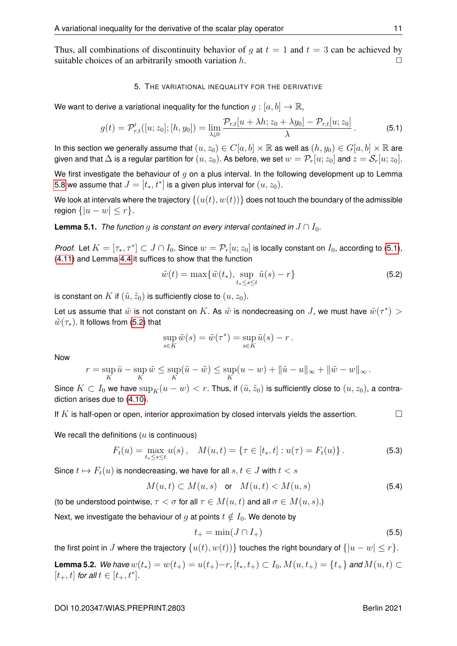Thus, all combinations of discontinuity behavior of q at  $t = 1$  and  $t = 3$  can be achieved by suitable choices of an arbitrarily smooth variation  $h$ .

## 5. THE VARIATIONAL INEQUALITY FOR THE DERIVATIVE

We want to derive a variational inequality for the function  $g:[a,b]\to\mathbb{R}$ ,

<span id="page-12-0"></span>
$$
g(t) = \mathcal{P}'_{r,t}([u; z_0]; [h, y_0]) = \lim_{\lambda \downarrow 0} \frac{\mathcal{P}_{r,t}[u + \lambda h; z_0 + \lambda y_0] - \mathcal{P}_{r,t}[u; z_0]}{\lambda}.
$$
 (5.1)

In this section we generally assume that  $(u, z_0) \in C[a, b] \times \mathbb{R}$  as well as  $(h, y_0) \in G[a, b] \times \mathbb{R}$  are given and that  $\Delta$  is a regular partition for  $(u,z_0).$  As before, we set  $w = \mathcal{P}_r[u;z_0]$  and  $z = \mathcal{S}_r[u;z_0].$ 

We first investigate the behaviour of q on a plus interval. In the following development up to Lemma [5.8](#page-15-0) we assume that  $J=[t_\ast,t^\ast]$  is a given plus interval for  $(u,z_0).$ 

We look at intervals where the trajectory  $\{(u(t), w(t))\}$  does not touch the boundary of the admissible region  $\{|u - w| \leq r\}$ .

<span id="page-12-3"></span>**Lemma 5.1.** *The function g is constant on every interval contained in*  $J \cap I_0$ *.* 

*Proof.* Let  $K = [\tau_*, \tau^*] \subset J \cap I_0$ . Since  $w = \mathcal{P}_r[u; z_0]$  is locally constant on  $I_0$ , according to [\(5.1\)](#page-12-0), [\(4.11\)](#page-10-1) and Lemma [4.4](#page-9-0) it suffices to show that the function

<span id="page-12-1"></span>
$$
\tilde{w}(t) = \max\{\tilde{w}(t_*)\text{, }\sup_{t_*\leq s\leq t}\tilde{u}(s) - r\}\tag{5.2}
$$

is constant on K if  $(\tilde{u}, \tilde{z}_0)$  is sufficiently close to  $(u, z_0)$ .

Let us assume that  $\tilde w$  is not constant on  $K.$  As  $\tilde w$  is nondecreasing on  $J,$  we must have  $\tilde w(\tau^*)>$  $\tilde{w}(\tau_{*})$ . It follows from [\(5.2\)](#page-12-1) that

$$
\sup_{s \in K} \tilde{w}(s) = \tilde{w}(\tau^*) = \sup_{s \in K} \tilde{u}(s) - r.
$$

Now

$$
r = \sup_K \tilde{u} - \sup_K \tilde{w} \le \sup_K (\tilde{u} - \tilde{w}) \le \sup_K (u - w) + ||\tilde{u} - u||_{\infty} + ||\tilde{w} - w||_{\infty}.
$$

Since  $K \subset I_0$  we have  $\sup_K(u - w) < r$ . Thus, if  $(\tilde{u}, \tilde{z}_0)$  is sufficiently close to  $(u, z_0)$ , a contradiction arises due to [\(4.10\)](#page-9-7).

If  $K$  is half-open or open, interior approximation by closed intervals yields the assertion.

We recall the definitions ( $u$  is continuous)

$$
F_t(u) = \max_{t_* \le s \le t} u(s), \quad M(u, t) = \{ \tau \in [t_*, t] : u(\tau) = F_t(u) \}.
$$
 (5.3)

Since  $t \mapsto F_t(u)$  is nondecreasing, we have for all  $s, t \in J$  with  $t < s$ 

<span id="page-12-2"></span>
$$
M(u,t) \subset M(u,s) \quad \text{or} \quad M(u,t) < M(u,s) \tag{5.4}
$$

(to be understood pointwise,  $\tau < \sigma$  for all  $\tau \in M(u, t)$  and all  $\sigma \in M(u, s)$ .)

Next, we investigate the behaviour of q at points  $t \notin I_0$ . We denote by

$$
t_{+} = \min(J \cap I_{+})
$$
\n
$$
\tag{5.5}
$$

the first point in J where the trajectory  $\{u(t), w(t)\}\$  touches the right boundary of  $\{|u - w| \le r\}$ .

<span id="page-12-4"></span>**Lemma 5.2.** *We have*  $w(t_*) = w(t_+) = u(t_+) - r$ ,  $[t_*, t_+) \subset I_0$ ,  $M(u, t_+) = \{t_+\}$  *and*  $M(u, t) \subset I_0$  $[t_{+}, t]$  for all  $t \in [t_{+}, t^{*}]$ .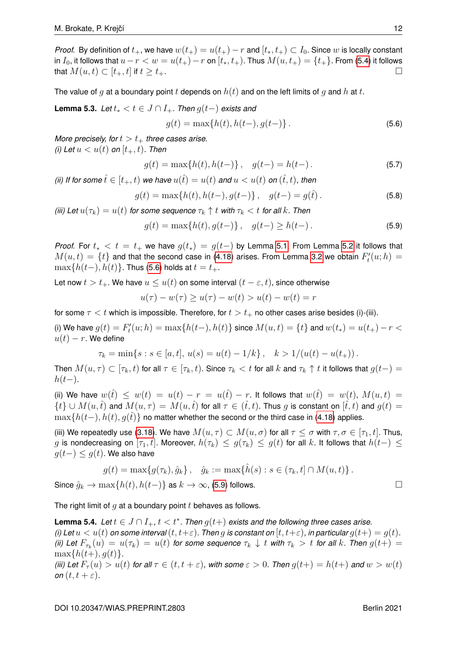*Proof.* By definition of  $t_+$ , we have  $w(t_+) = u(t_+) - r$  and  $[t_*, t_+) \subset I_0$ . Since w is locally constant in  $I_0$ , it follows that  $u-r < w = u(t_+) - r$  on  $[t_*, t_+$ . Thus  $M(u, t_+) = \{t_+\}$ . From [\(5.4\)](#page-12-2) it follows that  $M(u, t) \subset [t_+, t]$  if  $t \geq t_+$ .

The value of g at a boundary point t depends on  $h(t)$  and on the left limits of g and h at t.

<span id="page-13-2"></span>**Lemma 5.3.** *Let*  $t_* < t \in J \cap I_+$ *. Then*  $g(t-)$  *exists and* 

<span id="page-13-0"></span>
$$
g(t) = \max\{h(t), h(t-), g(t-)\}.
$$
\n(5.6)

*More precisely, for*  $t > t_+$  *three cases arise. (i)* Let  $u < u(t)$  on  $[t_{+}, t)$ . Then

$$
g(t) = \max\{h(t), h(t-)\}, \quad g(t-) = h(t-).
$$
 (5.7)

*(ii) If for some*  $\hat{t} \in [t_+, t)$  *we have*  $u(\hat{t}) = u(t)$  *and*  $u < u(t)$  *on*  $(\hat{t}, t)$ *, then* 

$$
g(t) = \max\{h(t), h(t-), g(t-)\}, \quad g(t-) = g(\hat{t}).
$$
\n(5.8)

*(iii)* Let  $u(\tau_k) = u(t)$  for some sequence  $\tau_k \uparrow t$  with  $\tau_k < t$  for all k. Then

<span id="page-13-1"></span>
$$
g(t) = \max\{h(t), g(t-) \}, \quad g(t-) \ge h(t-).
$$
 (5.9)

*Proof.* For  $t_* < t = t_+$  we have  $g(t_*) = g(t-)$  by Lemma [5.1.](#page-12-3) From Lemma [5.2](#page-12-4) it follows that  $M(u,t) = \{t\}$  and that the second case in [\(4.18\)](#page-10-6) arises. From Lemma [3.2](#page-8-1) we obtain  $F'_t(u;h) =$  $\max\{h(t-), h(t)\}\$ . Thus [\(5.6\)](#page-13-0) holds at  $t = t_{+}$ .

Let now  $t > t_+$ . We have  $u \leq u(t)$  on some interval  $(t - \varepsilon, t)$ , since otherwise

$$
u(\tau) - w(\tau) \ge u(\tau) - w(t) > u(t) - w(t) = r
$$

for some  $\tau < t$  which is impossible. Therefore, for  $t > t_+$  no other cases arise besides (i)-(iii).

(i) We have  $g(t) = F'_t(u;h) = \max\{h(t-),h(t)\}$  since  $M(u,t) = \{t\}$  and  $w(t_*) = u(t_+) - r < 0$  $u(t) - r$ . We define

$$
\tau_k = \min\{s : s \in [a, t], \, u(s) = u(t) - 1/k\}, \quad k > 1/(u(t) - u(t_+))\,.
$$

Then  $M(u, \tau) \subset [\tau_k, t)$  for all  $\tau \in [\tau_k, t)$ . Since  $\tau_k < t$  for all  $k$  and  $\tau_k \uparrow t$  it follows that  $g(t-)$  $h(t-).$ 

(ii) We have  $w(\hat{t}) \leq w(t) = u(t) - r = u(\hat{t}) - r$ . It follows that  $w(\hat{t}) = w(t)$ ,  $M(u, t) =$  $\{t\} \cup M(u,\hat{t})$  and  $M(u,\tau) = M(u,\hat{t})$  for all  $\tau \in (\hat{t},t)$ . Thus g is constant on  $[\hat{t},t)$  and  $g(t) =$  $\max\{h(t-), h(t), q(t)\}\$  no matter whether the second or the third case in [\(4.18\)](#page-10-6) applies.

(iii) We repeatedly use [\(3.18\)](#page-8-0). We have  $M(u, \tau) \subset M(u, \sigma)$  for all  $\tau \leq \sigma$  with  $\tau, \sigma \in [\tau_1, t]$ . Thus, g is nondecreasing on  $[\tau_1, t]$ . Moreover,  $h(\tau_k) \leq g(\tau_k) \leq g(t)$  for all k. It follows that  $h(t-) \leq$  $q(t-) \leq g(t)$ . We also have

$$
g(t) = \max\{g(\tau_k), \hat{g}_k\}, \quad \hat{g}_k := \max\{\hat{h}(s) : s \in (\tau_k, t] \cap M(u, t)\}.
$$

Since  $\hat{q}_k \to \max\{h(t), h(t-)\}\$  as  $k \to \infty$ , [\(5.9\)](#page-13-1) follows.

The right limit of  $q$  at a boundary point  $t$  behaves as follows.

<span id="page-13-3"></span>**Lemma 5.4.** Let  $t \in J \cap I_+$ ,  $t < t^*$ . Then  $g(t+)$  exists and the following three cases arise. *(i)* Let  $u < u(t)$  on some interval  $(t, t+\varepsilon)$ . Then g is constant on  $[t, t+\varepsilon)$ , in particular  $g(t+) = g(t)$ . *(ii) Let*  $F_{\tau_k}(u) = u(\tau_k) = u(t)$  for some sequence  $\tau_k \downarrow t$  with  $\tau_k > t$  for all  $k$ . Then  $g(t+) = u(t)$  $\max\{h(t+), q(t)\}.$ *(iii)* Let  $F_\tau(u) > u(t)$  for all  $\tau \in (t, t + \varepsilon)$ , with some  $\varepsilon > 0$ . Then  $g(t+) = h(t+)$  and  $w > w(t)$ *on*  $(t, t + \varepsilon)$ *.* 

$$
\Box
$$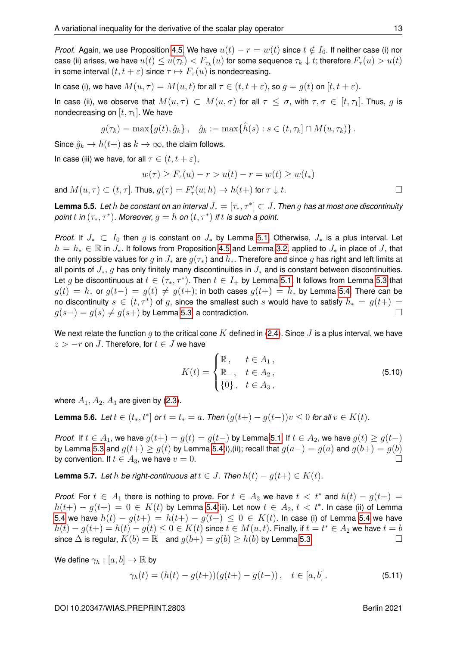In case (i), we have  $M(u, \tau) = M(u, t)$  for all  $\tau \in (t, t + \varepsilon)$ , so  $q = q(t)$  on  $[t, t + \varepsilon)$ .

In case (ii), we observe that  $M(u, \tau) \subset M(u, \sigma)$  for all  $\tau \leq \sigma$ , with  $\tau, \sigma \in [t, \tau]$ . Thus, g is nondecreasing on  $[t, \tau_1]$ . We have

$$
g(\tau_k) = \max\{g(t), \hat{g}_k\}, \quad \hat{g}_k := \max\{\hat{h}(s) : s \in (t, \tau_k] \cap M(u, \tau_k)\}.
$$

Since  $\hat{g}_k \to h(t+)$  as  $k \to \infty$ , the claim follows.

In case (iii) we have, for all  $\tau \in (t, t + \varepsilon)$ ,

$$
w(\tau) \ge F_{\tau}(u) - r > u(t) - r = w(t) \ge w(t_*)
$$

and  $M(u, \tau) \subset (t, \tau]$ . Thus,  $g(\tau) = F'_{\tau}(u; h) \to h(t+)$  for  $\tau \downarrow t$ .

<span id="page-14-0"></span>**Lemma 5.5.** *Let* h *be constant on an interval* J<sup>∗</sup> = [τ∗, τ <sup>∗</sup> ] ⊂ J*. Then* g *has at most one discontinuity*  $\emph{point~}t$  in  $(\tau_*,\tau^*)$ . Moreover,  $g=h$  on  $(t,\tau^*)$  if  $t$  is such a point.

*Proof.* If  $J_* \subset I_0$  then g is constant on  $J_*$  by Lemma [5.1.](#page-12-3) Otherwise,  $J_*$  is a plus interval. Let  $h = h_* \in \mathbb{R}$  in  $J_*$ . It follows from Proposition [4.5](#page-10-5) and Lemma [3.2,](#page-8-1) applied to  $J_*$  in place of  $J$ , that the only possible values for q in  $J_*$  are  $q(\tau_*)$  and  $h_*$ . Therefore and since q has right and left limits at all points of  $J_*$ , q has only finitely many discontinuities in  $J_*$  and is constant between discontinuities. Let  $g$  be discontinuous at  $t \in (\tau_*, \tau^*)$ . Then  $t \in I_+$  by Lemma [5.1.](#page-12-3) It follows from Lemma [5.3](#page-13-2) that  $g(t) = h_*$  or  $g(t-) = g(t) \neq g(t+)$ ; in both cases  $g(t+) = h_*$  by Lemma [5.4.](#page-13-3) There can be no discontinuity  $s \in (t, \tau^*)$  of  $g$ , since the smallest such  $s$  would have to satisfy  $h_* = g(t+) =$  $g(s-) = g(s) \neq g(s+)$  by Lemma [5.3,](#page-13-2) a contradiction.

We next relate the function g to the critical cone K defined in [\(2.4\)](#page-4-6). Since J is a plus interval, we have  $z > -r$  on J. Therefore, for  $t \in J$  we have

$$
K(t) = \begin{cases} \mathbb{R}, & t \in A_1, \\ \mathbb{R}_-, & t \in A_2, \\ \{0\}, & t \in A_3, \end{cases}
$$
 (5.10)

where  $A_1, A_2, A_3$  are given by [\(2.3\)](#page-4-7).

<span id="page-14-1"></span>**Lemma 5.6.** *Let*  $t \in (t_*, t^*]$  *or*  $t = t_* = a$ *. Then*  $(g(t+) - g(t-))v \leq 0$  *for all*  $v \in K(t)$ *.* 

*Proof.* If  $t \in A_1$ , we have  $g(t+) = g(t) = g(t-)$  by Lemma [5.1.](#page-12-3) If  $t \in A_2$ , we have  $g(t) \ge g(t-)$ by Lemma [5.3](#page-13-2) and  $g(t+) \ge g(t)$  by Lemma [5.4\(](#page-13-3)i),(ii); recall that  $g(a-) = g(a)$  and  $g(b+) = g(b)$ by convention. If  $t \in A_3$ , we have  $v = 0$ .

<span id="page-14-2"></span>**Lemma 5.7.** *Let*  $h$  *be right-continuous at*  $t \in J$ *. Then*  $h(t) - g(t+) \in K(t)$ *.* 

*Proof.* For  $t \in A_1$  there is nothing to prove. For  $t \in A_3$  we have  $t < t^*$  and  $h(t) - g(t+) =$  $h(t+) - g(t+) = 0 \in K(t)$  by Lemma [5.4\(](#page-13-3)iii). Let now  $t \in A_2, t < t^*$ . In case (ii) of Lemma [5.4](#page-13-3) we have  $h(t) - q(t+) = h(t+) - q(t+) \leq 0 \in K(t)$ . In case (i) of Lemma [5.4](#page-13-3) we have  $h(t)-g(t+)=h(t)-g(t)\leq 0\in K(t)$  since  $t\in M(u,t).$  Finally, if  $t=t^*\in A_2$  we have  $t=b$ since  $\Delta$  is regular,  $K(b) = \mathbb{R}_-$  and  $g(b+) = g(b) \ge h(b)$  by Lemma [5.3.](#page-13-2)

We define  $\gamma_h : [a, b] \to \mathbb{R}$  by

$$
\gamma_h(t) = (h(t) - g(t+))(g(t+) - g(t-)), \quad t \in [a, b]. \tag{5.11}
$$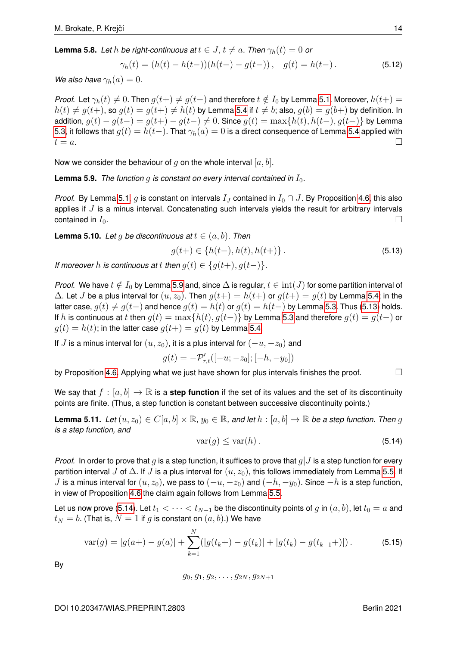<span id="page-15-0"></span>**Lemma 5.8.** Let h be right-continuous at  $t \in J$ ,  $t \neq a$ . Then  $\gamma_h(t) = 0$  or

$$
\gamma_h(t) = (h(t) - h(t-))(h(t-) - g(t-)), \quad g(t) = h(t-).
$$
\n(5.12)

*We also have*  $\gamma_h(a) = 0$ *.* 

*Proof.* Let  $\gamma_h(t) \neq 0$ . Then  $g(t+) \neq g(t-)$  and therefore  $t \notin I_0$  by Lemma [5.1.](#page-12-3) Moreover,  $h(t+) =$  $h(t) \neq g(t+)$ , so  $g(t) = g(t+) \neq h(t)$  by Lemma [5.4](#page-13-3) if  $t \neq b$ ; also,  $g(b) = g(b+)$  by definition. In addition,  $g(t) - g(t-) = g(t+) - g(t-) \neq 0$ . Since  $g(t) = \max\{h(t), h(t-), g(t-)\}\$  by Lemma [5.3,](#page-13-2) it follows that  $g(t) = h(t-)$ . That  $\gamma_h(a) = 0$  is a direct consequence of Lemma [5.4](#page-13-3) applied with  $t = a$ .

Now we consider the behaviour of  $g$  on the whole interval  $[a, b]$ .

<span id="page-15-1"></span>**Lemma 5.9.** *The function q is constant on every interval contained in*  $I_0$ .

*Proof.* By Lemma [5.1,](#page-12-3) g is constant on intervals  $I_J$  contained in  $I_0 \cap J$ . By Proposition [4.6,](#page-11-3) this also applies if  $J$  is a minus interval. Concatenating such intervals yields the result for arbitrary intervals contained in  $I_0$ .

<span id="page-15-6"></span>**Lemma 5.10.** *Let* g *be discontinuous at*  $t \in (a, b)$ *. Then* 

<span id="page-15-2"></span>
$$
g(t+) \in \{h(t-), h(t), h(t+)\}.
$$
\n(5.13)

*If moreover* h *is continuous at* t *then*  $q(t) \in \{q(t+), q(t-)\}$ .

*Proof.* We have  $t \notin I_0$  by Lemma [5.9](#page-15-1) and, since  $\Delta$  is regular,  $t \in \text{int}(J)$  for some partition interval of  $\Delta$ . Let J be a plus interval for  $(u, z_0)$ . Then  $g(t+) = h(t+)$  or  $g(t+) = g(t)$  by Lemma [5.4;](#page-13-3) in the latter case,  $q(t) \neq q(t-)$  and hence  $q(t) = h(t)$  or  $q(t) = h(t-)$  by Lemma [5.3.](#page-13-2) Thus [\(5.13\)](#page-15-2) holds. If h is continuous at t then  $g(t) = \max\{h(t), g(t-)\}\$  by Lemma [5.3](#page-13-2) and therefore  $g(t) = g(t-)$  or  $q(t) = h(t)$ ; in the latter case  $q(t+) = q(t)$  by Lemma [5.4.](#page-13-3)

If J is a minus interval for  $(u, z_0)$ , it is a plus interval for  $(-u, -z_0)$  and

$$
g(t) = -\mathcal{P}'_{r,t}([-u; -z_0]; [-h, -y_0])
$$

by Proposition [4.6.](#page-11-3) Applying what we just have shown for plus intervals finishes the proof.  $\Box$ 

We say that  $f : [a, b] \to \mathbb{R}$  is a **step function** if the set of its values and the set of its discontinuity points are finite. (Thus, a step function is constant between successive discontinuity points.)

<span id="page-15-5"></span>**Lemma 5.11.** *Let*  $(u, z_0) \in C[a, b] \times \mathbb{R}$ ,  $y_0 \in \mathbb{R}$ , and let  $h : [a, b] \to \mathbb{R}$  be a step function. Then g *is a step function, and*

<span id="page-15-3"></span>
$$
\text{var}(g) \le \text{var}(h) \,. \tag{5.14}
$$

*Proof.* In order to prove that q is a step function, it suffices to prove that  $q$ , is a step function for every partition interval J of  $\Delta$ . If J is a plus interval for  $(u, z_0)$ , this follows immediately from Lemma [5.5.](#page-14-0) If J is a minus interval for  $(u, z_0)$ , we pass to  $(-u, -z_0)$  and  $(-h, -y_0)$ . Since  $-h$  is a step function, in view of Proposition [4.6](#page-11-3) the claim again follows from Lemma [5.5.](#page-14-0)

Let us now prove [\(5.14\)](#page-15-3). Let  $t_1 < \cdots < t_{N-1}$  be the discontinuity points of g in  $(a, b)$ , let  $t_0 = a$  and  $t_N = b$ . (That is,  $N = 1$  if g is constant on  $(a, b)$ .) We have

<span id="page-15-4"></span>
$$
\text{var}(g) = |g(a+) - g(a)| + \sum_{k=1}^{N} (|g(t_k+) - g(t_k)| + |g(t_k) - g(t_{k-1}+)|) \,. \tag{5.15}
$$

By

$$
g_0, g_1, g_2, \ldots, g_{2N}, g_{2N+1}
$$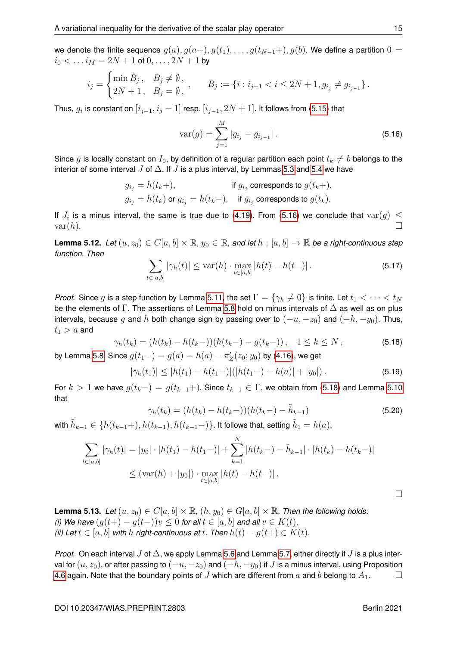$$
i_j = \begin{cases} \min B_j, & B_j \neq \emptyset, \\ 2N+1, & B_j = \emptyset, \end{cases}, \qquad B_j := \{i : i_{j-1} < i \leq 2N+1, g_{i_j} \neq g_{i_{j-1}}\}.
$$

Thus,  $g_i$  is constant on  $[i_{j-1}, i_j-1]$  resp.  $[i_{j-1}, 2N+1]$ . It follows from [\(5.15\)](#page-15-4) that

<span id="page-16-0"></span>
$$
var(g) = \sum_{j=1}^{M} |g_{i_j} - g_{i_{j-1}}|.
$$
\n(5.16)

Since g is locally constant on  $I_0$ , by definition of a regular partition each point  $t_k \neq b$  belongs to the interior of some interval J of  $\Delta$ . If J is a plus interval, by Lemmas [5.3](#page-13-2) and [5.4](#page-13-3) we have

$$
\begin{aligned} g_{i_j} &= h(t_k+), &\text{if } g_{i_j} \text{ corresponds to } g(t_k+),\\ g_{i_j} &= h(t_k) \text{ or } g_{i_j} = h(t_k-), &\text{if } g_{i_j} \text{ corresponds to } g(t_k). \end{aligned}
$$

If  $J_i$  is a minus interval, the same is true due to [\(4.19\)](#page-11-1). From [\(5.16\)](#page-16-0) we conclude that  $\text{var}(g)~\leq$  $var(h)$ .

<span id="page-16-3"></span>**Lemma 5.12.** *Let*  $(u, z_0) \in C[a, b] \times \mathbb{R}$ ,  $y_0 \in \mathbb{R}$ , and let  $h : [a, b] \to \mathbb{R}$  be a right-continuous step *function. Then*

$$
\sum_{t \in [a,b]} |\gamma_h(t)| \le \text{var}(h) \cdot \max_{t \in [a,b]} |h(t) - h(t-)|. \tag{5.17}
$$

*Proof.* Since g is a step function by Lemma [5.11,](#page-15-5) the set  $\Gamma = \{ \gamma_h \neq 0 \}$  is finite. Let  $t_1 < \cdots < t_N$ be the elements of Γ. The assertions of Lemma [5.8](#page-15-0) hold on minus intervals of  $\Delta$  as well as on plus intervals, because g and h both change sign by passing over to  $(-u, -z_0)$  and  $(-h, -y_0)$ . Thus,  $t_1 > a$  and

<span id="page-16-1"></span>
$$
\gamma_h(t_k) = (h(t_k) - h(t_k-))(h(t_k-) - g(t_k-)), \quad 1 \le k \le N,
$$
\n(5.18)

by Lemma [5.8.](#page-15-0) Since  $g(t_1-) = g(a) = h(a) - \pi'_Z(z_0; y_0)$  by [\(4.16\)](#page-10-4), we get

$$
|\gamma_h(t_1)| \le |h(t_1) - h(t_1-)|(|h(t_1-) - h(a)| + |y_0|).
$$
 (5.19)

For  $k > 1$  we have  $g(t_k-) = g(t_{k-1}+)$ . Since  $t_{k-1} \in \Gamma$ , we obtain from [\(5.18\)](#page-16-1) and Lemma [5.10](#page-15-6) that

$$
\gamma_h(t_k) = (h(t_k) - h(t_k-))(h(t_k-) - \tilde{h}_{k-1})
$$
\n(5.20)

with  $\tilde{h}_{k-1} \in \{ h(t_{k-1}+), h(t_{k-1}), h(t_{k-1}-) \}.$  It follows that, setting  $\tilde{h}_1 = h(a),$ 

$$
\sum_{t \in [a,b]} |\gamma_h(t)| = |y_0| \cdot |h(t_1) - h(t_1-)| + \sum_{k=1}^N |h(t_k-) - \tilde{h}_{k-1}| \cdot |h(t_k) - h(t_{k-})|
$$
  
 
$$
\leq (\text{var}(h) + |y_0|) \cdot \max_{t \in [a,b]} |h(t) - h(t-)|.
$$

<span id="page-16-2"></span>**Lemma 5.13.** *Let*  $(u, z_0) \in C[a, b] \times \mathbb{R}$ ,  $(h, y_0) \in G[a, b] \times \mathbb{R}$ . Then the following holds: *(i)* We have  $(g(t+) - g(t-))v \leq 0$  for all  $t \in [a, b]$  and all  $v \in K(t)$ . *(ii)* Let  $t \in [a, b]$  *with*  $h$  *right-continuous at*  $t$ . Then  $h(t) - q(t+) \in K(t)$ .

*Proof.* On each interval  $J$  of  $\Delta$ , we apply Lemma [5.6](#page-14-1) and Lemma [5.7,](#page-14-2) either directly if  $J$  is a plus interval for  $(u, z_0)$ , or after passing to  $(-u, -z_0)$  and  $(-h, -y_0)$  if J is a minus interval, using Proposition [4.6](#page-11-3) again. Note that the boundary points of J which are different from a and b belong to  $A_1$ .

 $\Box$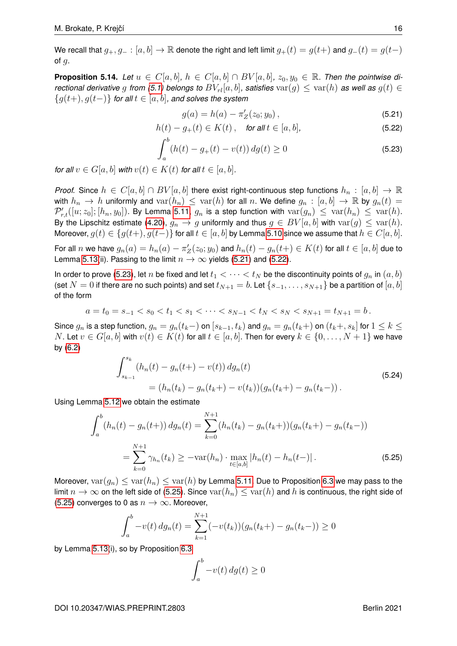We recall that  $g_+, g_- : [a, b] \to \mathbb{R}$  denote the right and left limit  $g_+(t) = g(t+)$  and  $g_-(t) = g(t-)$ of  $q$ .

<span id="page-17-0"></span>**Proposition 5.14.** Let  $u \in C[a, b]$ ,  $h \in C[a, b] \cap BV[a, b]$ ,  $z_0, y_0 \in \mathbb{R}$ . Then the pointwise di*rectional derivative* g *from* [\(5.1\)](#page-12-0) *belongs to*  $BV_{rl}[a, b]$ *, satisfies*  $var(g) \leq var(h)$  *as well as*  $g(t) \in$ {g(t+), g(t−)} *for all* t ∈ [a, b]*, and solves the system*

<span id="page-17-3"></span><span id="page-17-2"></span><span id="page-17-1"></span>
$$
g(a) = h(a) - \pi'_Z(z_0; y_0), \tag{5.21}
$$

$$
h(t) - g_{+}(t) \in K(t), \quad \text{for all } t \in [a, b], \tag{5.22}
$$

$$
\int_{a}^{b} (h(t) - g_{+}(t) - v(t)) \, dg(t) \ge 0 \tag{5.23}
$$

*for all*  $v \in G[a, b]$  *with*  $v(t) \in K(t)$  *for all*  $t \in [a, b]$ *.* 

*Proof.* Since  $h \in C[a, b] \cap BV[a, b]$  there exist right-continuous step functions  $h_n : [a, b] \to \mathbb{R}$ with  $h_n \to h$  uniformly and  $var(h_n) \leq var(h)$  for all n. We define  $g_n : [a, b] \to \mathbb{R}$  by  $g_n(t) =$  $\mathcal{P}'_{r,t}([u;z_0];[h_n,y_0])$ . By Lemma [5.11,](#page-15-5)  $g_n$  is a step function with  $\text{var}(g_n) \, \leq \, \text{var}(h_n) \, \leq \, \text{var}(h)$ . By the Lipschitz estimate [\(4.20\)](#page-11-2),  $g_n \to g$  uniformly and thus  $g \in BV[a, b]$  with  $var(g) \leq var(h)$ . Moreover,  $g(t) \in \{g(t+), g(t-)\}\$  for all  $t \in [a, b]$  by Lemma [5.10](#page-15-6) since we assume that  $h \in C[a, b]$ .

For all  $n$  we have  $g_n(a)=h_n(a)-\pi'_Z(z_0;y_0)$  and  $h_n(t)-g_n(t+)\in K(t)$  for all  $t\in [a,b]$  due to Lemma [5.13\(](#page-16-2)ii). Passing to the limit  $n \to \infty$  yields [\(5.21\)](#page-17-1) and [\(5.22\)](#page-17-2).

In order to prove [\(5.23\)](#page-17-3), let n be fixed and let  $t_1 < \cdots < t_N$  be the discontinuity points of  $g_n$  in  $(a, b)$ (set  $N = 0$  if there are no such points) and set  $t_{N+1} = b$ . Let  $\{s_{-1}, \ldots, s_{N+1}\}$  be a partition of  $[a, b]$ of the form

$$
a = t_0 = s_{-1} < s_0 < t_1 < s_1 < \dots < s_{N-1} < t_N < s_N < s_{N+1} = t_{N+1} = b \, .
$$

Since  $g_n$  is a step function,  $g_n = g_n(t_k-)$  on  $[s_{k-1}, t_k)$  and  $g_n = g_n(t_k+)$  on  $(t_k+, s_k]$  for  $1 \leq k \leq k$ N. Let  $v \in G[a, b]$  with  $v(t) \in K(t)$  for all  $t \in [a, b]$ . Then for every  $k \in \{0, \ldots, N+1\}$  we have by [\(6.2\)](#page-19-13)

$$
\int_{s_{k-1}}^{s_k} (h_n(t) - g_n(t+) - v(t)) \, dg_n(t)
$$
\n
$$
= (h_n(t_k) - g_n(t_k+) - v(t_k)) (g_n(t_k+) - g_n(t_k-)).
$$
\n(5.24)

Using Lemma [5.12](#page-16-3) we obtain the estimate

$$
\int_{a}^{b} (h_n(t) - g_n(t+)) dg_n(t) = \sum_{k=0}^{N+1} (h_n(t_k) - g_n(t_k+)) (g_n(t_k+) - g_n(t_k-))
$$
  
= 
$$
\sum_{k=0}^{N+1} \gamma_{h_n}(t_k) \ge -\text{var}(h_n) \cdot \max_{t \in [a,b]} |h_n(t) - h_n(t-)|.
$$
 (5.25)

Moreover,  $var(g_n) \leq var(h_n) \leq var(h)$  by Lemma [5.11.](#page-15-5) Due to Proposition [6.3](#page-19-14) we may pass to the limit  $n \to \infty$  on the left side of [\(5.25\)](#page-17-4). Since  $\text{var}(h_n) \leq \text{var}(h)$  and h is continuous, the right side of [\(5.25\)](#page-17-4) converges to 0 as  $n \to \infty$ . Moreover,

$$
\int_a^b -v(t) \, dg_n(t) = \sum_{k=1}^{N+1} (-v(t_k)) (g_n(t_k+) - g_n(t_k-)) \ge 0
$$

by Lemma [5.13\(](#page-16-2)i), so by Proposition [6.3](#page-19-14)

<span id="page-17-4"></span>
$$
\int_{a}^{b} -v(t) \, dg(t) \ge 0
$$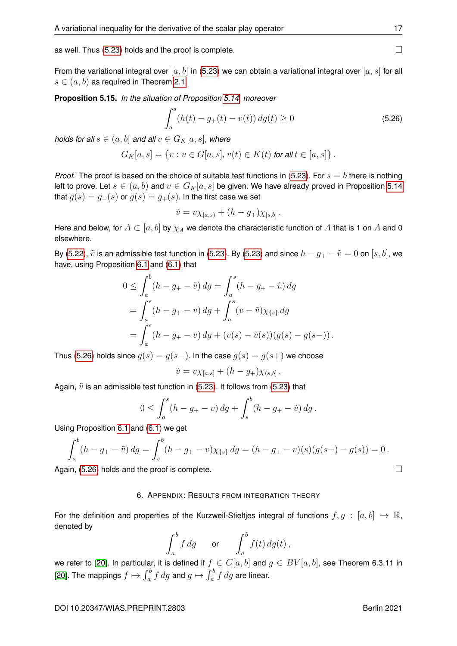as well. Thus  $(5.23)$  holds and the proof is complete.

From the variational integral over  $[a, b]$  in [\(5.23\)](#page-17-3) we can obtain a variational integral over  $[a, s]$  for all  $s \in (a, b)$  as required in Theorem [2.1.](#page-4-0)

<span id="page-18-0"></span>**Proposition 5.15.** *In the situation of Proposition [5.14,](#page-17-0) moreover*

<span id="page-18-1"></span>
$$
\int_{a}^{s} (h(t) - g_{+}(t) - v(t)) \, dg(t) \ge 0 \tag{5.26}
$$

.

*holds for all*  $s \in (a, b]$  *and all*  $v \in G_K[a, s]$ *, where* 

$$
G_K[a, s] = \{v : v \in G[a, s], v(t) \in K(t) \text{ for all } t \in [a, s] \}.
$$

*Proof.* The proof is based on the choice of suitable test functions in [\(5.23\)](#page-17-3). For  $s = b$  there is nothing left to prove. Let  $s \in (a, b)$  and  $v \in G_K[a, s]$  be given. We have already proved in Proposition [5.14](#page-17-0) that  $g(s) = g_-(s)$  or  $g(s) = g_+(s)$ . In the first case we set

$$
\tilde{v} = v\chi_{[a,s)} + (h - g_+) \chi_{[s,b]}
$$

Here and below, for  $A \subset [a, b]$  by  $\chi_A$  we denote the characteristic function of A that is 1 on A and 0 elsewhere.

By [\(5.22\)](#page-17-2),  $\tilde{v}$  is an admissible test function in [\(5.23\)](#page-17-3). By (5.23) and since  $h - g_+ - \tilde{v} = 0$  on  $[s, b]$ , we have, using Proposition [6.1](#page-19-15) and [\(6.1\)](#page-19-16) that

$$
0 \leq \int_a^b (h - g_+ - \tilde{v}) \, dg = \int_a^s (h - g_+ - \tilde{v}) \, dg
$$
  
= 
$$
\int_a^s (h - g_+ - v) \, dg + \int_a^s (v - \tilde{v}) \chi_{\{s\}} \, dg
$$
  
= 
$$
\int_a^s (h - g_+ - v) \, dg + (v(s) - \tilde{v}(s)) (g(s) - g(s-)).
$$

Thus [\(5.26\)](#page-18-1) holds since  $g(s) = g(s-)$ . In the case  $g(s) = g(s+)$  we choose

$$
\tilde{v} = v\chi_{[a,s]} + (h - g_+)\chi_{(s,b]}.
$$

Again,  $\tilde{v}$  is an admissible test function in [\(5.23\)](#page-17-3). It follows from (5.23) that

$$
0 \le \int_a^s (h - g_+ - v) \, dg + \int_s^b (h - g_+ - \tilde{v}) \, dg \, .
$$

Using Proposition [6.1](#page-19-15) and [\(6.1\)](#page-19-16) we get

$$
\int_{s}^{b} (h - g_{+} - \tilde{v}) \, dg = \int_{s}^{b} (h - g_{+} - v) \chi_{\{s\}} \, dg = (h - g_{+} - v)(s)(g(s+) - g(s)) = 0 \, .
$$

Again,  $(5.26)$  holds and the proof is complete.

#### 6. APPENDIX: RESULTS FROM INTEGRATION THEORY

For the definition and properties of the Kurzweil-Stieltjes integral of functions  $f, g : [a, b] \rightarrow \mathbb{R}$ , denoted by

$$
\int_a^b f\,dg \qquad \text{or} \qquad \int_a^b f(t)\,dg(t)\,,
$$

we refer to [\[20\]](#page-20-4). In particular, it is defined if  $f \in G[a, b]$  and  $g \in BV[a, b]$ , see Theorem 6.3.11 in [\[20\]](#page-20-4). The mappings  $f\mapsto \int_a^b f\, dg$  and  $g\mapsto \int_a^b f\, dg$  are linear.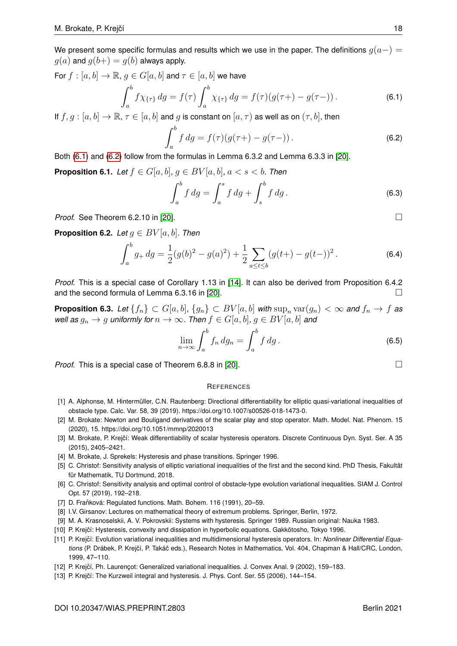We present some specific formulas and results which we use in the paper. The definitions  $q(a-)$  $g(a)$  and  $g(b+) = g(b)$  always apply.

For  $f : [a, b] \to \mathbb{R}$ ,  $g \in G[a, b]$  and  $\tau \in [a, b]$  we have

<span id="page-19-16"></span>
$$
\int_{a}^{b} f \chi_{\{\tau\}} dg = f(\tau) \int_{a}^{b} \chi_{\{\tau\}} dg = f(\tau) (g(\tau+) - g(\tau-)). \tag{6.1}
$$

If  $f, g : [a, b] \to \mathbb{R}, \tau \in [a, b]$  and g is constant on  $[a, \tau)$  as well as on  $(\tau, b]$ , then

<span id="page-19-13"></span>
$$
\int_{a}^{b} f \, dg = f(\tau) (g(\tau +) - g(\tau -)) \,. \tag{6.2}
$$

Both [\(6.1\)](#page-19-16) and [\(6.2\)](#page-19-13) follow from the formulas in Lemma 6.3.2 and Lemma 6.3.3 in [\[20\]](#page-20-4).

<span id="page-19-15"></span>**Proposition 6.1.** *Let*  $f \in G[a, b]$ *,*  $q \in BV[a, b]$ *,*  $a < s < b$ *. Then* 

$$
\int_{a}^{b} f \, dg = \int_{a}^{s} f \, dg + \int_{s}^{b} f \, dg \,. \tag{6.3}
$$

*Proof.* See Theorem 6.2.10 in [\[20\]](#page-20-4).

<span id="page-19-10"></span>**Proposition 6.2.** *Let*  $g \in BV[a, b]$ *. Then* 

$$
\int_{a}^{b} g_{+} dg = \frac{1}{2} (g(b)^{2} - g(a)^{2}) + \frac{1}{2} \sum_{a \le t \le b} (g(t+) - g(t-))^{2}.
$$
 (6.4)

*Proof.* This is a special case of Corollary 1.13 in [\[14\]](#page-20-5). It can also be derived from Proposition 6.4.2 and the second formula of Lemma 6.3.16 in [\[20\]](#page-20-4).

<span id="page-19-14"></span>**Proposition 6.3.** *Let*  $\{f_n\} \subset G[a, b], \{g_n\} \subset BV[a, b]$  *with*  $\sup_n \text{var}(g_n) < \infty$  *and*  $f_n \to f$  *as well as*  $g_n \to g$  *uniformly for*  $n \to \infty$ *. Then*  $f \in G[a, b]$ *,*  $g \in BV[a, b]$  *and* 

$$
\lim_{n \to \infty} \int_{a}^{b} f_n \, dg_n = \int_{a}^{b} f \, dg \,. \tag{6.5}
$$

*Proof.* This is a special case of Theorem 6.8.8 in [\[20\]](#page-20-4). □

#### **REFERENCES**

- <span id="page-19-8"></span>[1] A. Alphonse, M. Hintermüller, C.N. Rautenberg: Directional differentiability for elliptic quasi-variational inequalities of obstacle type. Calc. Var. 58, 39 (2019). https://doi.org/10.1007/s00526-018-1473-0.
- <span id="page-19-9"></span>[2] M. Brokate: Newton and Bouligand derivatives of the scalar play and stop operator. Math. Model. Nat. Phenom. 15 (2020), 15. https://doi.org/10.1051/mmnp/2020013
- <span id="page-19-4"></span>[3] M. Brokate, P. Krejčí: Weak differentiability of scalar hysteresis operators. Discrete Continuous Dyn. Syst. Ser. A 35 (2015), 2405–2421.
- <span id="page-19-1"></span>[4] M. Brokate, J. Sprekels: Hysteresis and phase transitions. Springer 1996.
- <span id="page-19-6"></span>[5] C. Christof: Sensitivity analysis of elliptic variational inequalities of the first and the second kind. PhD Thesis, Fakultät für Mathematik, TU Dortmund, 2018.
- <span id="page-19-7"></span>[6] C. Christof: Sensitivity analysis and optimal control of obstacle-type evolution variational inequalities. SIAM J. Control Opt. 57 (2019), 192–218.
- <span id="page-19-12"></span>[7] D. Fraňková: Regulated functions. Math. Bohem. 116 (1991), 20-59.
- <span id="page-19-11"></span>[8] I.V. Girsanov: Lectures on mathematical theory of extremum problems. Springer, Berlin, 1972.
- <span id="page-19-0"></span>[9] M. A. Krasnoselskii, A. V. Pokrovskii: Systems with hysteresis. Springer 1989. Russian original: Nauka 1983.
- <span id="page-19-2"></span>[10] P. Krejčí: Hysteresis, convexity and dissipation in hyperbolic equations. Gakkotosho, Tokyo 1996.
- <span id="page-19-3"></span>[11] P. Krejčí: Evolution variational inequalities and multidimensional hysteresis operators. In: *Nonlinear Differential Equations* (P. Drábek, P. Krejčí, P. Takáč eds.), Research Notes in Mathematics, Vol. 404, Chapman & Hall/CRC, London, 1999, 47–110.
- [12] P. Krejčí, Ph. Laurençot: Generalized variational inequalities. J. Convex Anal. 9 (2002), 159-183.
- <span id="page-19-5"></span>[13] P. Krejčí: The Kurzweil integral and hysteresis. J. Phys. Conf. Ser. 55 (2006), 144-154.